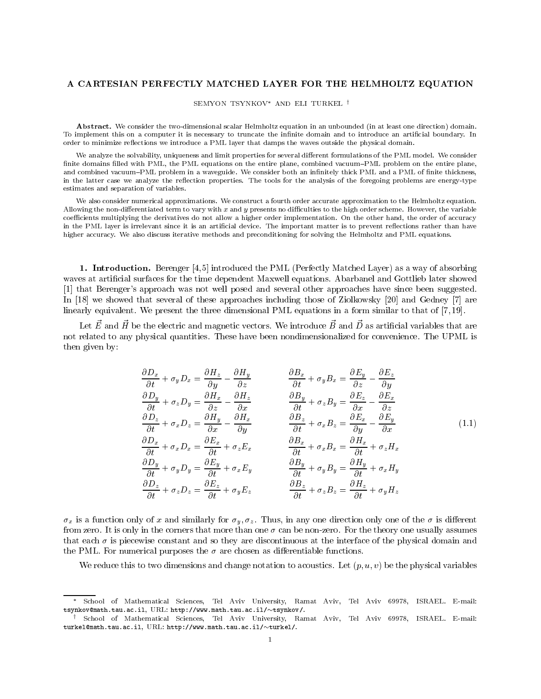# A CARTESIAN PERFECTLY MATCHED LAYER FOR THE HELMHOLTZ EQUATION

SEMYON TSYNKOV<sup>\*</sup> AND ELI TURKEL <sup>†</sup>

Abstract. We consider the two-dimensional scalar Helmholtz equation in an unbounded (in at least one direction) domain. To implement this on a computer it is necessary to truncate the infinite domain and to introduce an artificial boundary. In order to minimize reflections we introduce a PML layer that damps the waves outside the physical domain.

We analyze the solvability, uniqueness and limit properties for several different formulations of the PML model. We consider finite domains filled with PML, the PML equations on the entire plane, combined vacuum-PML problem on the entire plane, and combined vacuum-PML problem in a waveguide. We consider both an infinitely thick PML and a PML of finite thickness, in the latter case we analyze the reflection properties. The tools for the analysis of the foregoing problems are energy-type estimates and separation of variables.

We also consider numerical approximations. We construct a fourth order accurate approximation to the Helmholtz equation. Allowing the non-differentiated term to vary with  $x$  and  $y$  presents no difficulties to the high order scheme. However, the variable coefficients multiplying the derivatives do not allow a higher order implementation. On the other hand, the order of accuracy in the PML layer is irrelevant since it is an artificial device. The important matter is to prevent reflections rather than have higher accuracy. We also discuss iterative methods and preconditioning for solving the Helmholtz and PML equations.

1. Introduction. Berenger [4,5] introduced the PML (Perfectly Matched Layer) as a way of absorbing waves at articial surfaces for the time dependent Maxwell equations. Abarbanel and Gottlieb later showed [1] that Berenger's approach was not well posed and several other approaches have since been suggested. In [18] we showed that several of these approaches including those of Ziolkowsky [20] and Gedney [7] are linearly equivalent. We present the three dimensional PML equations in a form similar to that of [7, 19].

Let  $E$  and H be the electric and magnetic vectors. We introduce  $D$  and  $D$  as artificial variables that are not related to any physical quantities. These have been nondimensionalized for convenience. The UPML is then given by:

$$
\frac{\partial D_x}{\partial t} + \sigma_y D_x = \frac{\partial H_z}{\partial y} - \frac{\partial H_y}{\partial z} \qquad \frac{\partial B_x}{\partial t} + \sigma_y B_x = \frac{\partial E_y}{\partial z} - \frac{\partial E_z}{\partial y}
$$
\n
$$
\frac{\partial D_y}{\partial t} + \sigma_z D_y = \frac{\partial H_x}{\partial z} - \frac{\partial H_z}{\partial x} \qquad \frac{\partial B_y}{\partial t} + \sigma_z B_y = \frac{\partial E_z}{\partial x} - \frac{\partial E_x}{\partial z}
$$
\n
$$
\frac{\partial D_z}{\partial t} + \sigma_x D_z = \frac{\partial H_y}{\partial x} - \frac{\partial H_x}{\partial y} \qquad \frac{\partial B_z}{\partial t} + \sigma_x B_z = \frac{\partial E_x}{\partial y} - \frac{\partial E_y}{\partial x}
$$
\n
$$
\frac{\partial D_x}{\partial t} + \sigma_x D_x = \frac{\partial E_x}{\partial t} + \sigma_z E_x \qquad \frac{\partial B_x}{\partial t} + \sigma_x B_x = \frac{\partial H_x}{\partial t} + \sigma_z H_x
$$
\n
$$
\frac{\partial D_y}{\partial t} + \sigma_y D_y = \frac{\partial E_y}{\partial t} + \sigma_x E_y \qquad \frac{\partial B_y}{\partial t} + \sigma_y B_y = \frac{\partial H_y}{\partial t} + \sigma_x H_y
$$
\n
$$
\frac{\partial D_z}{\partial t} + \sigma_z D_z = \frac{\partial E_z}{\partial t} + \sigma_y E_z \qquad \frac{\partial B_z}{\partial t} + \sigma_z B_z = \frac{\partial H_z}{\partial t} + \sigma_y H_z
$$
\n(1.1)

 $\sigma_x$  is a function only of x and similarly for  $\sigma_y$ ,  $\sigma_z$ . Thus, in any one direction only one of the  $\sigma$  is different from zero. It is only in the corners that more than one  $\sigma$  can be non-zero. For the theory one usually assumes that each  $\sigma$  is piecewise constant and so they are discontinuous at the interface of the physical domain and the PML. For numerical purposes the  $\sigma$  are chosen as differentiable functions.

We reduce this to two dimensions and change notation to acoustics. Let  $(p, u, v)$  be the physical variables

School of Mathematical Sciences, Tel Aviv University, Ramat Aviv, Tel Aviv 69978, ISRAEL. E-mail: tsynkov@math.tau.ac.il, URL: http://www.math.tau.ac.il/~tsynkov/.

<sup>y</sup> School of Mathematical Sciences, Tel Aviv University, Ramat Aviv, Tel Aviv 69978, ISRAEL. E-mail: turkel@math.tau.ac.il, URL: http://www.math.tau.ac.il/ $\sim$ turkel/.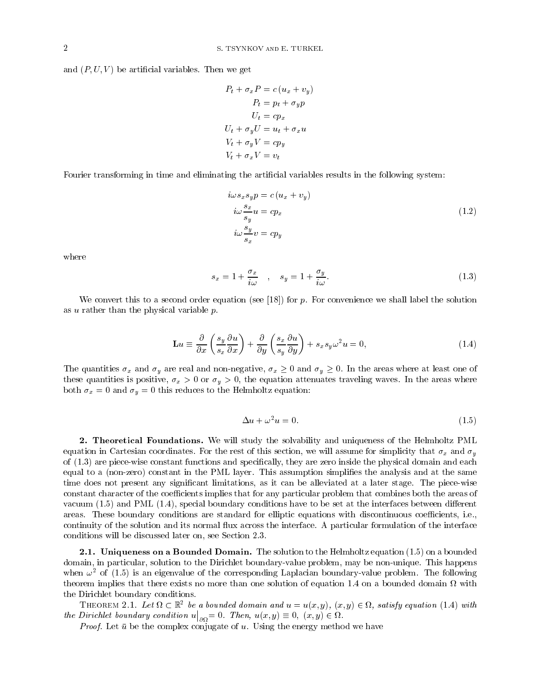and  $(P, U, V)$  be artificial variables. Then we get

$$
P_t + \sigma_x P = c (u_x + v_y)
$$
  
\n
$$
P_t = p_t + \sigma_y p
$$
  
\n
$$
U_t = cp_x
$$
  
\n
$$
U_t + \sigma_y U = u_t + \sigma_x u
$$
  
\n
$$
V_t + \sigma_y V = cp_y
$$
  
\n
$$
V_t + \sigma_x V = v_t
$$

Fourier transforming in time and eliminating the artificial variables results in the following system:

$$
i\omega s_x s_y p = c (u_x + v_y)
$$
  
\n
$$
i\omega \frac{s_x}{s_y} u = cp_x
$$
  
\n
$$
i\omega \frac{s_y}{s_x} v = cp_y
$$
\n(1.2)

where

$$
s_x = 1 + \frac{\sigma_x}{i\omega} \quad , \quad s_y = 1 + \frac{\sigma_y}{i\omega}.
$$
 (1.3)

We convert this to a second order equation (see  $[18]$ ) for p. For convenience we shall label the solution as  $u$  rather than the physical variable  $p$ .

$$
\mathbf{L}u \equiv \frac{\partial}{\partial x} \left( \frac{s_y}{s_x} \frac{\partial u}{\partial x} \right) + \frac{\partial}{\partial y} \left( \frac{s_x}{s_y} \frac{\partial u}{\partial y} \right) + s_x s_y \omega^2 u = 0, \tag{1.4}
$$

The quantities  $\sigma_x$  and  $\sigma_y$  are real and non-negative,  $\sigma_x \ge 0$  and  $\sigma_y \ge 0$ . In the areas where at least one of these quantities is positive,  $\sigma_x > 0$  or  $\sigma_y > 0$ , the equation attenuates traveling waves. In the areas where both  $\sigma_x = 0$  and  $\sigma_y = 0$  this reduces to the Helmholtz equation:

$$
\Delta u + \omega^2 u = 0. \tag{1.5}
$$

2. Theoretical Foundations. We will study the solvability and uniqueness of the Helmholtz PML equation in Cartesian coordinates. For the rest of this section, we will assume for simplicity that  $\sigma_x$  and  $\sigma_y$ of (1.3) are piece-wise constant functions and specically, they are zero inside the physical domain and each equal to a (non-zero) constant in the PML layer. This assumption simplies the analysis and at the same time does not present any signicant limitations, as it can be alleviated ata later stage. The piece-wise constant character of the coefficients implies that for any particular problem that combines both the areas of vacuum  $(1.5)$  and PML  $(1.4)$ , special boundary conditions have to be set at the interfaces between different areas. These boundary conditions are standard for elliptic equations with discontinuous coefficients, i.e., continuity of the solution and its normal 
ux across the interface. A particular formulation of the interface conditions will be discussed later on, see Section 2.3.

**2.1. Uniqueness on a Bounded Domain.** The solution to the Helmholtz equation  $(1.5)$  on a bounded domain, in particular, solution to the Dirichlet boundary-value problem, may be non-unique. This happens when  $\omega^2$  of (1.5) is an eigenvalue of the corresponding Laplacian boundary-value problem. The following theorem implies that there exists no more than one solution of equation 1.4 on a bounded domain with the Dirichlet boundary conditions.

THEOREM 2.1. Let  $\Omega \subset \mathbb{R}^2$  be a bounded domain and  $u = u(x, y)$ ,  $(x, y) \in \Omega$ , satisfy equation (1.4) with the Dirichlet boundary condition use  $\mathbf{P}$  and use  $\mathbf{P}$  and use  $\mathbf{P}$  and use  $\mathbf{P}$  $\big|_{\partial\Omega} = 0.$  Then,  $u(x, y) \equiv 0, (x, y) \in \Omega$ .

*Proof.* Let  $\bar{u}$  be the complex conjugate of u. Using the energy method we have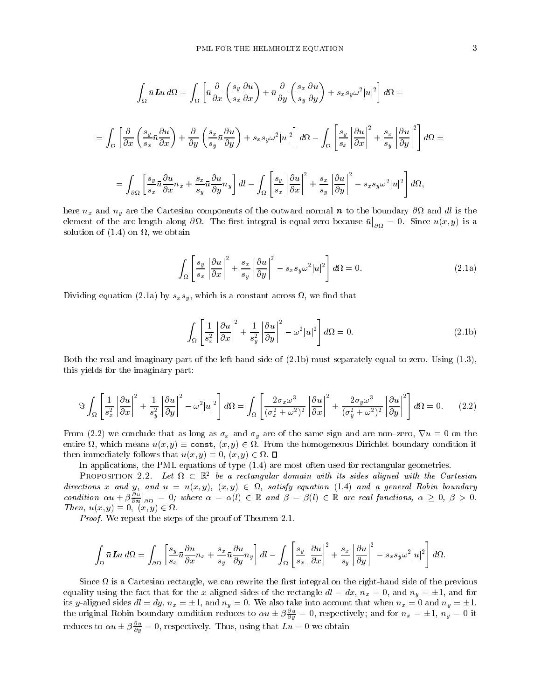$$
\int_{\Omega} \bar{u} \, \mathbf{L} u \, d\Omega = \int_{\Omega} \left[ \bar{u} \frac{\partial}{\partial x} \left( \frac{s_y}{s_x} \frac{\partial u}{\partial x} \right) + \bar{u} \frac{\partial}{\partial y} \left( \frac{s_x}{s_y} \frac{\partial u}{\partial y} \right) + s_x s_y \omega^2 |u|^2 \right] d\Omega =
$$
\n
$$
= \int_{\Omega} \left[ \frac{\partial}{\partial x} \left( \frac{s_y}{s_x} \bar{u} \frac{\partial u}{\partial x} \right) + \frac{\partial}{\partial y} \left( \frac{s_x}{s_y} \bar{u} \frac{\partial u}{\partial y} \right) + s_x s_y \omega^2 |u|^2 \right] d\Omega - \int_{\Omega} \left[ \frac{s_y}{s_x} \left| \frac{\partial u}{\partial x} \right|^2 + \frac{s_x}{s_y} \left| \frac{\partial u}{\partial y} \right|^2 \right] d\Omega =
$$
\n
$$
= \int_{\partial \Omega} \left[ \frac{s_y}{s_x} \bar{u} \frac{\partial u}{\partial x} n_x + \frac{s_x}{s_y} \bar{u} \frac{\partial u}{\partial y} n_y \right] dl - \int_{\Omega} \left[ \frac{s_y}{s_x} \left| \frac{\partial u}{\partial x} \right|^2 + \frac{s_x}{s_y} \left| \frac{\partial u}{\partial y} \right|^2 - s_x s_y \omega^2 |u|^2 \right] d\Omega,
$$

here nx and ny are the Cartesian components of the outward normal <sup>n</sup> to the boundary @ and dl is the  $\mathcal{L}$ element of the arc length along  $\mathcal{L}$  is equal zero because using  $\mathcal{L}$  $\big|_{\partial\Omega} = 0$ . Since  $u(x, y)$  is a solution of  $\{1,4\}$  on  $\{1,4\}$  on  $\{1,4\}$  or  $\{1,4\}$ 

$$
\int_{\Omega} \left[ \frac{s_y}{s_x} \left| \frac{\partial u}{\partial x} \right|^2 + \frac{s_x}{s_y} \left| \frac{\partial u}{\partial y} \right|^2 - s_x s_y \omega^2 |u|^2 \right] d\Omega = 0. \tag{2.1a}
$$

 $\Omega$  is a constant across , which is a constant across , which is a constant across , which is a constant across  $\mu$ 

$$
\int_{\Omega} \left[ \frac{1}{s_x^2} \left| \frac{\partial u}{\partial x} \right|^2 + \frac{1}{s_y^2} \left| \frac{\partial u}{\partial y} \right|^2 - \omega^2 |u|^2 \right] d\Omega = 0.
$$
\n(2.1b)

Both the real and imaginary part of the left-hand side of (2.1b) must separately equal to zero. Using (1.3), this yields for the imaginary part:

$$
\Im \int_{\Omega} \left[ \frac{1}{s_x^2} \left| \frac{\partial u}{\partial x} \right|^2 + \frac{1}{s_y^2} \left| \frac{\partial u}{\partial y} \right|^2 - \omega^2 |u|^2 \right] d\Omega = \int_{\Omega} \left[ \frac{2\sigma_x \omega^3}{(\sigma_x^2 + \omega^2)^2} \left| \frac{\partial u}{\partial x} \right|^2 + \frac{2\sigma_y \omega^3}{(\sigma_y^2 + \omega^2)^2} \left| \frac{\partial u}{\partial y} \right|^2 \right] d\Omega = 0. \tag{2.2}
$$

From (2.2) we conclude that as long as  $\sigma_x$  and  $\sigma_y$  are of the same sign and are non-zero,  $\nabla u \equiv 0$  on the entire  $\Omega$ , which means  $u(x, y) \equiv \text{const}$ ,  $(x, y) \in \Omega$ . From the homogeneous Dirichlet boundary condition it then immediately follows that  $u(x, y) \equiv 0, (x, y) \in \Omega$ .  $\Box$ 

In applications, the PML equations of type (1.4) are most often used for rectangular geometries.

PROPOSITION 2.2. Let  $\Omega \subset \mathbb{R}^2$  be a rectangular domain with its sides aligned with the Cartesian directions x and y, and  $u = u(x, y)$ ,  $(x, y) \in \Omega$ , satisfy equation (1.4) and a general Robin boundary condition  $\alpha u + \beta \frac{\partial}{\partial n}|_{\partial \Omega} = 0$  $\big|_{\partial\Omega} = 0$ ; where  $\alpha = \alpha(l) \in \mathbb{R}$  and  $\beta = \beta(l) \in \mathbb{R}$  are real functions,  $\alpha \geq 0$ ,  $\beta > 0$ . Then,  $u(x, y) \equiv 0$ ,  $(x, y) \in \Omega$ .

Proof. We repeat the steps of the proof of Theorem 2.1.

$$
\int_{\Omega} \bar{u} \mathbf{L} u \, d\Omega = \int_{\partial \Omega} \left[ \frac{s_y}{s_x} \bar{u} \frac{\partial u}{\partial x} n_x + \frac{s_x}{s_y} \bar{u} \frac{\partial u}{\partial y} n_y \right] dl - \int_{\Omega} \left[ \frac{s_y}{s_x} \left| \frac{\partial u}{\partial x} \right|^2 + \frac{s_x}{s_y} \left| \frac{\partial u}{\partial y} \right|^2 - s_x s_y \omega^2 |u|^2 \right] d\Omega.
$$

Since is a Cartesian rectangle, we can rewrite the rst integral on the right-hand side of the previous equality using the fact that for the x-aligned sides of the rectangle  $dl = dx$ ,  $n_x = 0$ , and  $n_y = \pm 1$ , and for its y-aligned sides  $dl = dy$ ,  $n_x = \pm 1$ , and  $n_y = 0$ . We also take into account that when  $n_x = 0$  and  $n_y = \pm 1$ , the original Robin boundary condition reduces to  $\alpha u \pm \beta \frac{\partial u}{\partial u} = 0$ , respectively; and for  $n_x = \pm 1$ ,  $n_y = 0$  it reduces to  $\alpha u \pm \beta \frac{\partial u}{\partial y} = 0$ , respectively. Thus, using that  $Lu = 0$  we obtain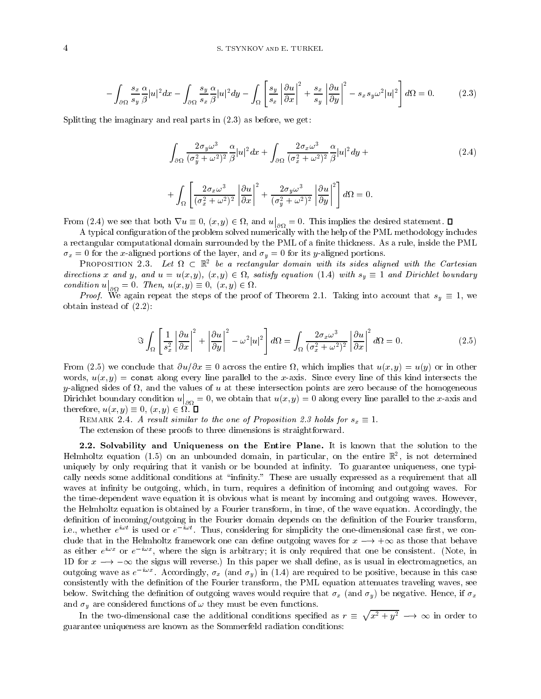$$
-\int_{\partial\Omega} \frac{s_x}{s_y} \frac{\alpha}{\beta} |u|^2 dx - \int_{\partial\Omega} \frac{s_y}{s_x} \frac{\alpha}{\beta} |u|^2 dy - \int_{\Omega} \left[ \frac{s_y}{s_x} \left| \frac{\partial u}{\partial x} \right|^2 + \frac{s_x}{s_y} \left| \frac{\partial u}{\partial y} \right|^2 - s_x s_y \omega^2 |u|^2 \right] d\Omega = 0. \tag{2.3}
$$

Splitting the imaginary and real parts in (2.3) as before, we get:

$$
\int_{\partial\Omega} \frac{2\sigma_y \omega^3}{(\sigma_y^2 + \omega^2)^2} \frac{\alpha}{\beta} |u|^2 dx + \int_{\partial\Omega} \frac{2\sigma_x \omega^3}{(\sigma_x^2 + \omega^2)^2} \frac{\alpha}{\beta} |u|^2 dy + \tag{2.4}
$$

$$
+\int_{\Omega} \left[ \frac{2\sigma_x \omega^3}{(\sigma_x^2 + \omega^2)^2} \left| \frac{\partial u}{\partial x} \right|^2 + \frac{2\sigma_y \omega^3}{(\sigma_y^2 + \omega^2)^2} \left| \frac{\partial u}{\partial y} \right|^2 \right] d\Omega = 0.
$$

From (2.4) we see that both  $\nabla u \equiv 0$ ,  $(x, y) \in \Omega$ , and  $u|_{\infty} = 0$ .  $\big|_{\partial\Omega} = 0$ . This implies the desired statement.  $\square$ 

A typical conguration of the problem solved numerically with the help of the PML methodology includes a rectangular computational domain surrounded by the PML of a finite thickness. As a rule, inside the PML  $\sigma_x = 0$  for the x-aligned portions of the layer, and  $\sigma_y = 0$  for its y-aligned portions.

PROPOSITION 2.3. Let  $\Omega \subset \mathbb{R}^2$  be a rectangular domain with its sides aligned with the Cartesian directions x and y, and  $u = u(x, y)$ ,  $(x, y) \in \Omega$ , satisfy equation (1.4) with  $s_y \equiv 1$  and Dirichlet boundary condition use the condition of the condition of the condition of the condition of the condition of the condition of the condition of the condition of the condition of the condition of the condition of the condition of the  $\big|_{\partial\Omega} = 0$ . Then,  $u(x, y) \equiv 0$ ,  $(x, y) \in \Omega$ .

*Proof.* We again repeat the steps of the proof of Theorem 2.1. Taking into account that  $s_y \equiv 1$ , we obtain instead of (2.2):

$$
\Im \int_{\Omega} \left[ \frac{1}{s_x^2} \left| \frac{\partial u}{\partial x} \right|^2 + \left| \frac{\partial u}{\partial y} \right|^2 - \omega^2 |u|^2 \right] d\Omega = \int_{\Omega} \frac{2\sigma_x \omega^3}{(\sigma_x^2 + \omega^2)^2} \left| \frac{\partial u}{\partial x} \right|^2 d\Omega = 0. \tag{2.5}
$$

From (2.5) we conclude that  $\partial u/\partial x \equiv 0$  across the entire  $\Omega$ , which implies that  $u(x, y) = u(y)$  or in other words,  $u(x, y) = \text{const}$  along every line parallel to the x-axis. Since every line of this kind intersects the  $\mathcal{A}$  , and the values of u at the values of the values of the homogeneous of the homogeneous of the homogeneous of the homogeneous of the homogeneous of the homogeneous of the homogeneous of the homogeneous of the hom dirichlet boundary conditions are a set of the condition under the condition under the condition under the condition under the condition under the condition under the condition under the condition under the condition under  $\big|_{\partial\Omega} = 0$ , we obtain that  $u(x, y) = 0$  along every line parallel to the x-axis and therefore,  $u(x, y) \equiv 0, (x, y) \in \Omega$ .  $\Box$ 

REMARK 2.4. A result similar to the one of Proposition 2.3 holds for  $s_x \equiv 1$ .

The extension of these proofs to three dimensions is straightforward.

2.2. Solvability and Uniqueness on the Entire Plane. It is known that the solution to the  ${\tt H}$ elmholtz equation (1.5) on an unbounded domain, in particular, on the entire  ${\tt \mathbb{R}}$  , is not determined uniquely by only requiring that it vanish or be bounded at infinity. To guarantee uniqueness, one typically needs some additional conditions at "infinity." These are usually expressed as a requirement that all waves at infinity be outgoing, which, in turn, requires a definition of incoming and outgoing waves. For the time-dependent wave equation it is obvious what is meant by incoming and outgoing waves. However, the Helmholtz equation is obtained by a Fourier transform, in time, of the wave equation. Accordingly, the definition of incoming/outgoing in the Fourier domain depends on the definition of the Fourier transform, i.e., whether  $e$  is used or  $e$  inus, considering for simplicity the one-dimensional case first, we conclude that in the Helmholtz framework one can define outgoing waves for  $x \rightarrow +\infty$  as those that behave as either  $e$  for  $e$  , where the sign is arbitrary; it is only required that one be consistent. (Note, in  $\,$ 1D for  $x \to -\infty$  the signs will reverse.) In this paper we shall define, as is usual in electromagnetics, an outgoing wave as  $e^{+\pi x}$ . Accordingly,  $\sigma_x$  (and  $\sigma_y$ ) in (1.4) are required to be positive, because in this case consistently with the definition of the Fourier transform, the PML equation attenuates traveling waves, see below. Switching the definition of outgoing waves would require that  $\sigma_x$  (and  $\sigma_y$ ) be negative. Hence, if  $\sigma_x$ and  $\sigma_y$  are considered functions of  $\omega$  they must be even functions.

In the two-dimensional case the additional conditions specified as  $r \equiv \sqrt{x^2 + y^2} \longrightarrow \infty$  in order to guarantee uniqueness are known as the Sommerfeld radiation conditions: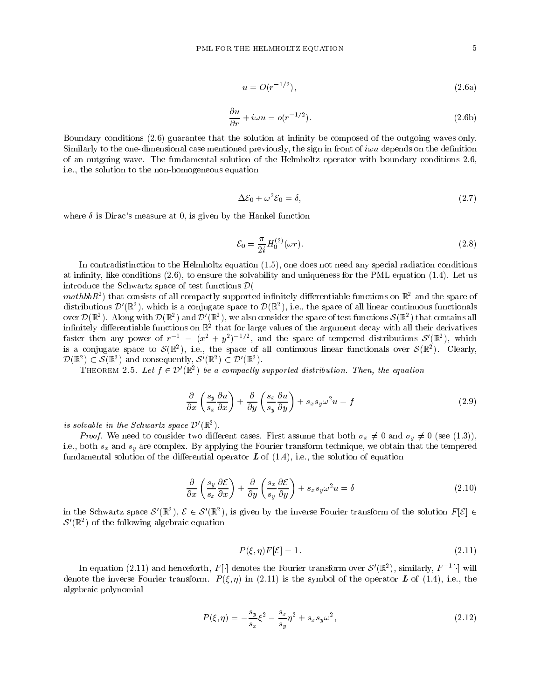$$
u = O(r^{-1/2}),
$$
\n(2.6a)

$$
\frac{\partial u}{\partial r} + i\omega u = o(r^{-1/2}).\tag{2.6b}
$$

Boundary conditions (2.6) guarantee that the solution at infinity be composed of the outgoing waves only. Similarly to the one-dimensional case mentioned previously, the sign in front of  $i\omega u$  depends on the definition of an outgoing wave. The fundamental solution of the Helmholtz operator with boundary conditions 2.6, i.e., the solution to the non-homogeneous equation

$$
\Delta \mathcal{E}_0 + \omega^2 \mathcal{E}_0 = \delta,\tag{2.7}
$$

where  $\delta$  is Dirac's measure at 0, is given by the Hankel function

$$
\mathcal{E}_0 = \frac{\pi}{2i} H_0^{(2)}(\omega r). \tag{2.8}
$$

In contradistinction to the Helmholtz equation (1.5), one does not need any special radiation conditions at infinity, like conditions  $(2.6)$ , to ensure the solvability and uniqueness for the PML equation  $(1.4)$ . Let us introduce the Schwartz space of test functions  $\mathcal{D}$ (

 $mannov$  ) that consists of all compactly supported inhiftely differentiable functions on  $\mathbb R$  and the space of distributions  $\mathcal{D}'(\mathbb{R}^2)$ , which is a conjugate space to  $\mathcal{D}(\mathbb{R}^2)$ , i.e., the space of all linear continuous functionals over  $\mathcal{D}(\mathbb{R}^2)$ . Along with  $\mathcal{D}(\mathbb{R}^2)$  and  $\mathcal{D}'(\mathbb{R}^2)$ , we also consider the space of test functions  $\mathcal{S}(\mathbb{R}^2)$  that contains all innitely dierentiable functions on R2 that for large values of the argument decay with all their derivatives faster then any power of  $r^{-1} = (x^2 + y^2)^{-1/2}$ , and the space of tempered distributions  $\mathcal{S}'(\mathbb{R}^2)$ , which is a conjugate space to  $\mathcal{S}(\mathbb{R}^2)$ , i.e., the space of all continuous linear functionals over  $\mathcal{S}(\mathbb{R}^2)$ . Clearly,  $\mathcal{D}(\mathbb{R}^2) \subset \mathcal{S}(\mathbb{R}^2)$  and consequently,  $\mathcal{S}'(\mathbb{R}^2) \subset \mathcal{D}'(\mathbb{R}^2)$ .

THEOREM 2.5. Let  $f \in \mathcal{D}'(\mathbb{R}^2)$  be a compactly supported distribution. Then, the equation

$$
\frac{\partial}{\partial x}\left(\frac{s_y}{s_x}\frac{\partial u}{\partial x}\right) + \frac{\partial}{\partial y}\left(\frac{s_x}{s_y}\frac{\partial u}{\partial y}\right) + s_x s_y \omega^2 u = f\tag{2.9}
$$

is solvable in the Schwartz space  $\mathcal{D}'(\mathbb{R}^2)$ .

*Proof.* We need to consider two different cases. First assume that both  $\sigma_x \neq 0$  and  $\sigma_y \neq 0$  (see (1.3)), i.e., both  $s_x$  and  $s_y$  are complex. By applying the Fourier transform technique, we obtain that the tempered fundamental solution of the differential operator  $\boldsymbol{L}$  of (1.4), i.e., the solution of equation

$$
\frac{\partial}{\partial x}\left(\frac{s_y}{s_x}\frac{\partial \mathcal{E}}{\partial x}\right) + \frac{\partial}{\partial y}\left(\frac{s_x}{s_y}\frac{\partial \mathcal{E}}{\partial y}\right) + s_x s_y \omega^2 u = \delta\tag{2.10}
$$

in the Schwartz space  $\mathcal{S}'(\mathbb{R}^2)$ ,  $\mathcal{E} \in \mathcal{S}'(\mathbb{R}^2)$ , is given by the inverse Fourier transform of the solution  $F[\mathcal{E}] \in$  $\mathcal{S}'(\mathbb{R}^2)$  of the following algebraic equation

$$
P(\xi, \eta)F[\mathcal{E}] = 1. \tag{2.11}
$$

In equation (2.11) and henceforth,  $F[\cdot]$  denotes the Fourier transform over  $\mathcal{S}'(\mathbb{R}^2)$ , similarly,  $F^{-1}[\cdot]$  will denote the inverse Fourier transform.  $P(\xi, \eta)$  in (2.11) is the symbol of the operator L of (1.4), i.e., the algebraic polynomial

$$
P(\xi, \eta) = -\frac{s_y}{s_x} \xi^2 - \frac{s_x}{s_y} \eta^2 + s_x s_y \omega^2, \qquad (2.12)
$$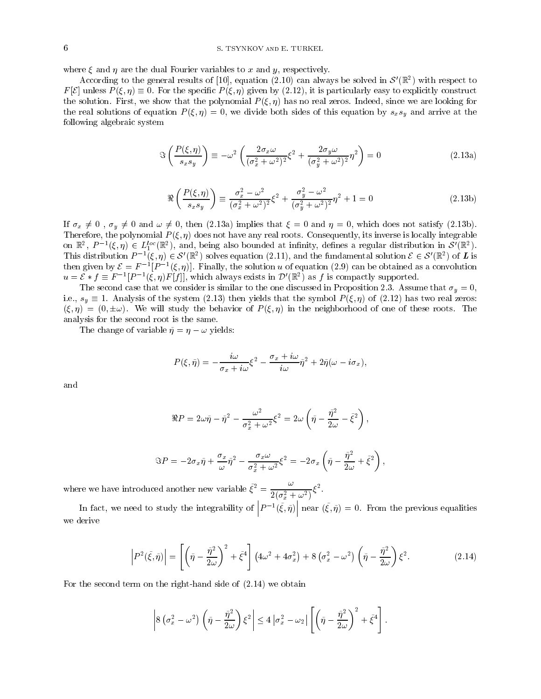# 6 S. TSYNKOV and E. TURKEL

where  $\xi$  and  $\eta$  are the dual Fourier variables to x and y, respectively.

According to the general results of [10], equation (2.10) can always be solved in  $\mathcal{S}'(\mathbb{R}^2)$  with respect to  $F[\mathcal{E}]$  unless  $P(\xi, \eta) \equiv 0$ . For the specific  $P(\xi, \eta)$  given by (2.12), it is particularly easy to explicitly construct the solution. First, we show that the polynomial  $P(\xi, \eta)$  has no real zeros. Indeed, since we are looking for the real solutions of equation  $P(\xi, \eta) = 0$ , we divide both sides of this equation by  $s_x s_y$  and arrive at the following algebraic system

$$
\mathfrak{F}\left(\frac{P(\xi,\eta)}{s_x s_y}\right) \equiv -\omega^2 \left(\frac{2\sigma_x \omega}{(\sigma_x^2 + \omega^2)^2} \xi^2 + \frac{2\sigma_y \omega}{(\sigma_y^2 + \omega^2)^2} \eta^2\right) = 0 \tag{2.13a}
$$

$$
\Re\left(\frac{P(\xi,\eta)}{s_x s_y}\right) \equiv \frac{\sigma_x^2 - \omega^2}{(\sigma_x^2 + \omega^2)^2} \xi^2 + \frac{\sigma_y^2 - \omega^2}{(\sigma_y^2 + \omega^2)^2} \eta^2 + 1 = 0
$$
\n(2.13b)

If  $\sigma_x \neq 0$ ,  $\sigma_y \neq 0$  and  $\omega \neq 0$ , then (2.13a) implies that  $\xi = 0$  and  $\eta = 0$ , which does not satisfy (2.13b). Therefore, the polynomial P (; ) does not have any real roots. Consequently, its inverse is locally integrable on  $\mathbb{R}^2$ ,  $P^{-1}(\xi, \eta) \in L_1^{loc}(\mathbb{R}^2)$ , and, being also bounded at infinity, defines a regular distribution in  $\mathcal{S}'(\mathbb{R}^2)$ . This distribution  $P^{-1}(\xi, \eta) \in \mathcal{S}'(\mathbb{R}^2)$  solves equation (2.11), and the fundamental solution  $\mathcal{E} \in \mathcal{S}'(\mathbb{R}^2)$  of  $\bm{L}$  is then given by  $\mathcal{E} = F^{-1}[P^{-1}(\xi, \eta)]$ . Finally, the solution u of equation (2.9)  $u = \mathcal{E} * f \equiv F^{-1}[P^{-1}(\xi, \eta)F[f]]$ , which always exists in  $\mathcal{D}'(\mathbb{R}^2)$  as f is compactly supported.

The second case that we consider is similar to the one discussed in Proposition 2.3. Assume that  $\sigma_y = 0$ . i.e.,  $s_y \equiv 1$ . Analysis of the system (2.13) then yields that the symbol  $P(\xi, \eta)$  of (2.12) has two real zeros:  $(\xi, \eta) = (0, \pm \omega)$ . We will study the behavior of  $P(\xi, \eta)$  in the neighborhood of one of these roots. The analysis for the second root is the same.

The change of variable  $\tilde{\eta} = \eta - \omega$  yields:

$$
P(\xi, \tilde{\eta}) = -\frac{i\omega}{\sigma_x + i\omega}\xi^2 - \frac{\sigma_x + i\omega}{i\omega}\tilde{\eta}^2 + 2\tilde{\eta}(\omega - i\sigma_x),
$$

and

$$
\Re P = 2\omega\tilde\eta - \tilde\eta^2 - \frac{\omega^2}{\sigma_x^2 + \omega^2}\xi^2 = 2\omega\left(\tilde\eta - \frac{\tilde\eta^2}{2\omega} - \tilde\xi^2\right),
$$

$$
\Im P = -2\sigma_x \tilde{\eta} + \frac{\sigma_x}{\omega}\tilde{\eta}^2 - \frac{\sigma_x\omega}{\sigma_x^2 + \omega^2}\xi^2 = -2\sigma_x\left(\tilde{\eta} - \frac{\tilde{\eta}^2}{2\omega} + \tilde{\xi}^2\right),
$$

where we have introduced another new variable  $\xi^2 = \frac{1}{2} \xi^2$ .  $2(\sigma_x^2 + \omega^2)$ <sup>5</sup>

In fact, we need to study the integrability of  $|P^{-1}(\tilde{\xi}, \tilde{\eta})|$  near  $\eta$  near  $({\tilde{\xi}}, {\tilde{\eta}}) = 0$ . From the previous equalities we derive

$$
\left| P^2(\tilde{\xi}, \tilde{\eta}) \right| = \left[ \left( \tilde{\eta} - \frac{\tilde{\eta}^2}{2\omega} \right)^2 + \tilde{\xi}^4 \right] \left( 4\omega^2 + 4\sigma_x^2 \right) + 8 \left( \sigma_x^2 - \omega^2 \right) \left( \tilde{\eta} - \frac{\tilde{\eta}^2}{2\omega} \right) \xi^2.
$$
 (2.14)

For the second term on the right-hand side of (2.14) we obtain

$$
\left|8(\sigma_x^2-\omega^2)\left(\tilde{\eta}-\frac{\tilde{\eta}^2}{2\omega}\right)\xi^2\right|\leq 4|\sigma_x^2-\omega_2|\left[\left(\tilde{\eta}-\frac{\tilde{\eta}^2}{2\omega}\right)^2+\tilde{\xi}^4\right].
$$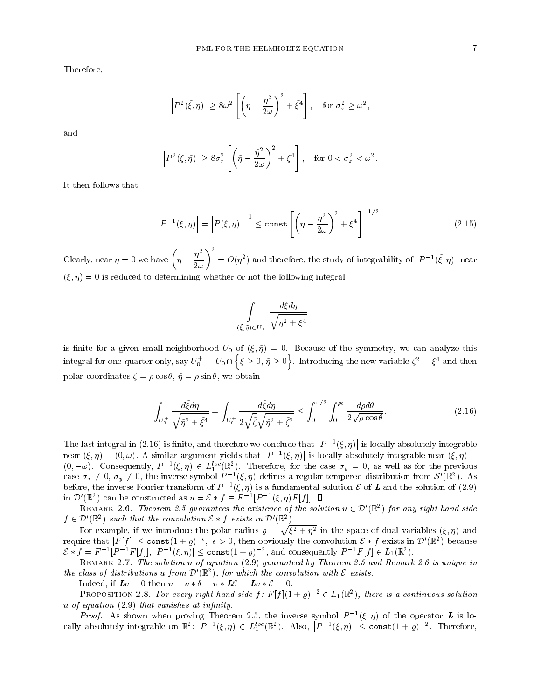Therefore,

$$
\left| P^2(\tilde{\xi}, \tilde{\eta}) \right| \ge 8\omega^2 \left[ \left( \tilde{\eta} - \frac{\tilde{\eta}^2}{2\omega} \right)^2 + \tilde{\xi}^4 \right], \text{ for } \sigma_x^2 \ge \omega^2,
$$

$$
\left| P^2(\tilde{\xi}, \tilde{\eta}) \right| \ge 8\sigma_x^2 \left[ \left( \tilde{\eta} - \frac{\tilde{\eta}^2}{2\omega} \right)^2 + \tilde{\xi}^4 \right], \quad \text{for } 0 < \sigma_x^2 < \omega^2.
$$

It then follows that

$$
\left| P^{-1}(\tilde{\xi}, \tilde{\eta}) \right| = \left| P(\tilde{\xi}, \tilde{\eta}) \right|^{-1} \le \text{const} \left[ \left( \tilde{\eta} - \frac{\tilde{\eta}^2}{2\omega} \right)^2 + \tilde{\xi}^4 \right]^{-1/2}.
$$
 (2.15)

Clearly, near  $\tilde{\eta} = 0$  we have  $\left(\tilde{\eta} - \frac{\tilde{\eta}^2}{2\omega}\right)^2 = O(\tilde{\eta}^2)$  and the <sup>2</sup>) and therefore, the study of integrability of  $|P^{-1}(\tilde{\xi}, \tilde{\eta})|$  near    near  $(\zeta, \eta) = 0$  is reduced to determining whether or not the following integral

$$
\int\limits_{(\bar\xi,\bar\eta)\in U_0}\frac{d\tilde\xi d\tilde\eta}{\sqrt{\tilde\eta^2+\tilde\xi^4}}
$$

is innite for a given small neighborhood  $U_0$  or  $(\zeta, \eta) = 0$ . Because of the symmetry, we can analyze this integral for one quarter only, say  $U_0^+ = U_0 \cap \left\{ \tilde{\xi} \geq 0, \, \tilde{\eta} \geq 0 \right\}$  $\tilde{\xi} \geq 0, \tilde{\eta} \geq 0$ . Introducing the new variable  $\tilde{\zeta}^2 = \tilde{\xi}^4$  and then polar coordinates  $\zeta = p \cos \theta, \eta = p \sin \theta, \omega$  we obtain

$$
\int_{U_0^+} \frac{d\tilde{\xi} d\tilde{\eta}}{\sqrt{\tilde{\eta}^2 + \tilde{\xi}^4}} = \int_{U_0^+} \frac{d\tilde{\zeta} d\tilde{\eta}}{2\sqrt{\tilde{\zeta}}\sqrt{\tilde{\eta}^2 + \tilde{\zeta}^2}} \le \int_0^{\pi/2} \int_0^{\rho_0} \frac{d\rho d\theta}{2\sqrt{\rho \cos \theta}}.
$$
\n(2.16)

The last integral in (2.16) is nite, and therefore we conclude that  $|P^{-1}(\xi,\eta)|$  is loc   is locally absolutely integrable near (; ) = (0; !). A similar argument yields that  $|P^{-1}(\xi,\eta)|$  is loc is locally absolutely integrable near  $(\xi, \eta) =$  $(0, -\omega)$ . Consequently,  $P^{-1}(\xi, \eta) \in L_1^{\text{loc}}(\mathbb{R}^2)$ . Therefore, for the case  $\sigma_y = 0$ , as well as for the previous case  $\sigma_x \neq 0$ ,  $\sigma_y \neq 0$ , the inverse symbol  $P^{-1}(\xi, \eta)$  defines a regular tempered distribution before, the inverse Fourier transform of  $P^{-1}(\xi, \eta)$  is a fundamental solution  ${\cal E}$  of  ${\cal L}$  and the solution of (2.9) in  $\mathcal{D}'(\mathbb{R}^2)$  can be constructed as  $u = \mathcal{E} * f \equiv F^{-1}[P^{-1}(\xi,\eta)F[f]]$ .  $\Box$ 

REMARK 2.6. Theorem 2.5 quarantees the existence of the solution  $u \in \mathcal{D}'(\mathbb{R}^2)$  for any right-hand side  $f \in \mathcal{D}'(\mathbb{R}^2)$  such that the convolution  $\mathcal{E} * f$  exists in  $\mathcal{D}'(\mathbb{R}^2)$ .

For example, if we introduce the polar radius  $\rho = \sqrt{\xi^2 + \eta^2}$  in the space of dual variables  $(\xi, \eta)$  and require that  $|F[f]| \leq \text{const}(1+\varrho)^{-\epsilon}, \epsilon > 0$ , then obviously the convolution  $\mathcal{E} * f$  exists in  $\mathcal{D}'(\mathbb{R}^2)$  because  $\mathcal{E} * f = F^{-1}[P^{-1}F[f]],$   $|P^{-1}(\xi, \eta)| \leq \text{const}(1+\varrho)^{-2}$ , and consequently  $P^{-1}F[f] \in L_1(\mathbb{R}^2)$ .

Remark 2.7. The solution u of equation (2.9) guaranteed by Theorem 2.5 and Remark 2.6 is unique in the class of distributions u from  $\mathcal{D}'(\mathbb{R}^2)$ , for which the convolution with  $\mathcal E$  exists.

Indeed, if  $\mathbf{L}v = 0$  then  $v = v * \delta = v * \mathbf{L}\mathcal{E} = \mathbf{L}v * \mathcal{E} = 0$ .

PROPOSITION 2.8. For every right-hand side  $f: F|f| (1+\varrho)^{-2} \in L_1(\mathbb{R}^2)$ , there is a continuous solution  $u$  of equation  $(2.9)$  that vanishes at infinity.

*Proof.* As shown when proving Theorem 2.5, the inverse symbol  $P = (\xi, \eta)$  of the operator  $L$  is locally absolutely integrable on  $\mathbb{R}^2$ :  $P^{-1}(\xi, \eta) \in L_1^{loc}(\mathbb{R}^2)$ . Also,  $|P^{-1}(\xi, \eta)| \leq$  co  $\vert \leq$  const $(1 + \varrho)^{-2}$ . Therefore,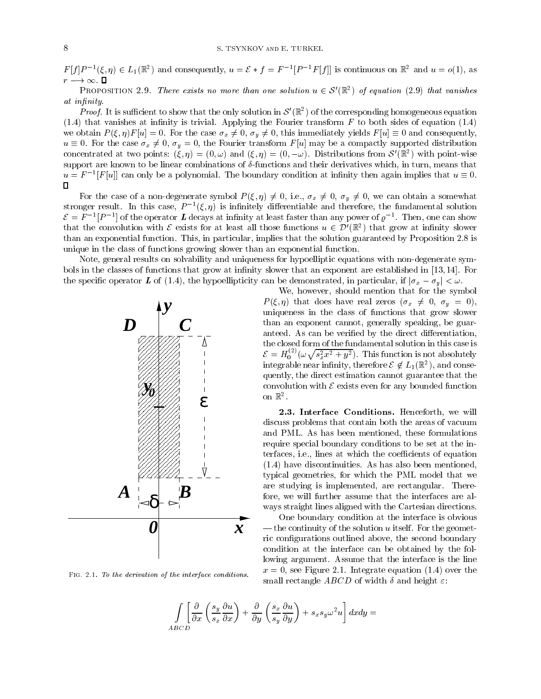$F[f]P^{-1}(\xi,\eta) \in L_1(\mathbb{R}^2)$  and consequently,  $u = \mathcal{E} * f = F^{-1}[P^{-1}F[f]]$  is continuous on  $\mathbb{R}^2$  and  $u = o(1)$ , as  $r \rightarrow \infty$ .  $\Box$ 

PROPOSITION 2.9. There exists no more than one solution  $u \in \mathcal{S}'(\mathbb{R}^2)$  of equation (2.9) that vanishes at infinity.

*Proof.* It is sufficient to show that the only solution in  $\mathcal{S}'(\mathbb{R}^2)$  of the corresponding homogeneous equation  $(1.4)$  that vanishes at infinity is trivial. Applying the Fourier transform F to both sides of equation  $(1.4)$ we obtain  $P(\xi, \eta)F[u] = 0$ . For the case  $\sigma_x \neq 0$ ,  $\sigma_y \neq 0$ , this immediately yields  $F[u] \equiv 0$  and consequently,  $u \equiv 0$ . For the case  $\sigma_x \neq 0$ ,  $\sigma_y = 0$ , the Fourier transform F[u] may be a compactly supported distribution concentrated at two points:  $(\xi, \eta) = (0, \omega)$  and  $(\xi, \eta) = (0, -\omega)$ . Distributions from  $\mathcal{S}'(\mathbb{R}^2)$  with point-wise support are known to be linear combinations of  $\delta$ -functions and their derivatives which, in turn, means that  $u = F^{-1}[F[u]]$  can only be a polynomial. The boundary condition at infinity then again implies that  $u \equiv 0.$  $\Box$ 

For the case of a non-degenerate symbol  $P(\xi, \eta) \neq 0$ , i.e.,  $\sigma_x \neq 0$ ,  $\sigma_y \neq 0$ , we can obtain a somewhat  $\sup$  is interesting the case,  $P^{-1}(\zeta, \eta)$  is infinitely differentiable and therefore, the fundamental solution  $\mathcal{E} = F^{-1}[P^{-1}]$  of the operator L decays at infinity at least faster than any power of  $\rho^{-1}$ . Then, one can show that the convolution with  $\mathcal E$  exists for at least all those functions  $u \in \mathcal D'(\mathbb R^2)$  that grow at infinity slower than an exponential function. This, in particular, implies that the solution guaranteed by Proposition 2.8 is unique in the class of functions growing slower than an exponential function.

Note, general results on solvability and uniqueness for hypoelliptic equations with non-degenerate symbols in the classes of functions that grow at infinity slower that an exponent are established in [13, 14]. For the specific operator L of (1.4), the hypoellipticity can be demonstrated, in particular, if  $|\sigma_x - \sigma_y| < \omega$ .



FIG. 2.1. To the derivation of the interface conditions.

We, however, should mention that for the symbol  $P(\xi, \eta)$  that does have real zeros  $(\sigma_x \neq 0, \sigma_y = 0),$ uniqueness in the class of functions that grow slower than an exponent cannot, generally speaking, be guaranteed. As can be verified by the direct differentiation, the closed form of the fundamental solution in this case is  $\mathcal{E} = H_0^{(2)}(\omega \sqrt{s_x^2 x^2 + y^2})$ . This function is not absolutely integrable near infinity, therefore  $\mathcal{E}\not\in L_1(\mathbb{R}^2),$  and consequently, the direct estimation cannot guarantee that the convolution with  $\mathcal E$  exists even for any bounded function on  $\mathbb{R}^2$ .

2.3. Interface Conditions. Henceforth, we will discuss problems that contain both the areas of vacuum and PML. As has been mentioned, these formulations require special boundary conditions to be set at the interfaces, *i.e.*, lines at which the coefficients of equation (1.4) have discontinuities. As has also been mentioned, typical geometries, for which the PML model that we are studying is implemented, are rectangular. Therefore, we will further assume that the interfaces are al ways straight lines aligned with the Cartesian directions.

One boundary condition at the interface is obvious  $-$  the continuity of the solution u itself. For the geometric configurations outlined above, the second boundary condition at the interface can be obtained by the following argument. Assume that the interface is the line  $x = 0$ , see Figure 2.1. Integrate equation (1.4) over the small rectangle *ABCD* of width  $\delta$  and height  $\varepsilon$ :

$$
\int_{ABCD} \left[ \frac{\partial}{\partial x} \left( \frac{s_y}{s_x} \frac{\partial u}{\partial x} \right) + \frac{\partial}{\partial y} \left( \frac{s_x}{s_y} \frac{\partial u}{\partial y} \right) + s_x s_y \omega^2 u \right] dx dy =
$$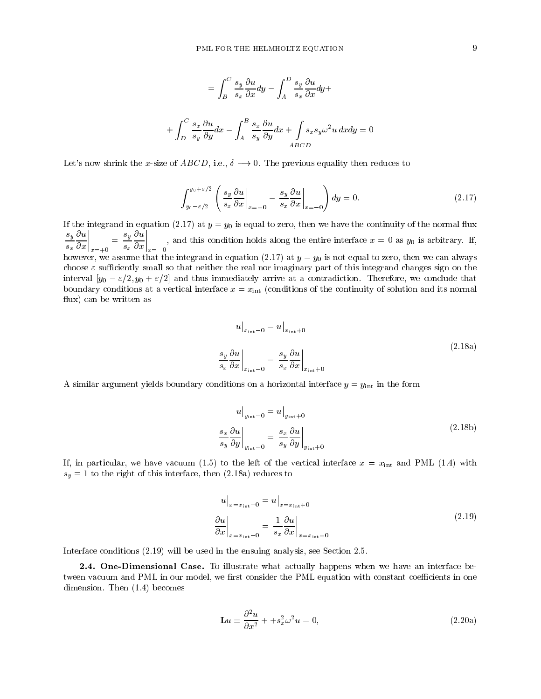$$
= \int_{B}^{C} \frac{s_{y}}{s_{x}} \frac{\partial u}{\partial x} dy - \int_{A}^{D} \frac{s_{y}}{s_{x}} \frac{\partial u}{\partial x} dy +
$$

$$
+ \int_{D}^{C} \frac{s_{x}}{s_{y}} \frac{\partial u}{\partial y} dx - \int_{A}^{B} \frac{s_{x}}{s_{y}} \frac{\partial u}{\partial y} dx + \int_{ABCD} s_{x} s_{y} \omega^{2} u dx dy = 0
$$

Let's now shrink the x-size of  $ABCD$ , i.e.,  $\delta \longrightarrow 0$ . The previous equality then reduces to

$$
\int_{y_0 - \varepsilon/2}^{y_0 + \varepsilon/2} \left( \frac{s_y}{s_x} \frac{\partial u}{\partial x} \bigg|_{x = +0} - \frac{s_y}{s_x} \frac{\partial u}{\partial x} \bigg|_{x = -0} \right) dy = 0. \tag{2.17}
$$

If the integrand in equation (2.17) at  $y = y_0$  is equal to zero, then we have the continuity of the normal flux  $\frac{s_y}{s} \frac{\partial u}{\partial x}\Big|_{x=0} = \frac{s_y}{s} \frac{\partial u}{\partial x}\Big|_{x=0}$ , and this condition holds along the entire interface  $x =$  $\frac{y}{s_x} \frac{\partial x}{\partial x}\Big|_{x=+0} =$  $\begin{bmatrix} \n\frac{s_y}{s_x} & \frac{\partial u}{\partial x} \\
\frac{1}{s_x} & \frac{\partial u}{\partial x} \n\end{bmatrix}_{x=-0}$ , an , and this condition holds along the entire interface  $x = 0$  as  $y_0$  is arbitrary. If, however, we assume that the integrand in equation (2.17) at  $y = y_0$  is not equal to zero, then we can always choose  $\varepsilon$  sufficiently small so that neither the real nor imaginary part of this integrand changes sign on the interval  $[y_0 - \varepsilon/2, y_0 + \varepsilon/2]$  and thus immediately arrive at a contradiction. Therefore, we conclude that boundary conditions at a vertical interface  $x = x_{\text{int}}$  (conditions of the continuity of solution and its normal flux) can be written as

$$
u\Big|_{x_{\rm int}-0} = u\Big|_{x_{\rm int}+0}
$$
\n
$$
\frac{s_y}{s_x} \frac{\partial u}{\partial x}\Big|_{x_{\rm int}-0} = \frac{s_y}{s_x} \frac{\partial u}{\partial x}\Big|_{x_{\rm int}+0}
$$
\n(2.18a)

A similar argument yields boundary conditions on a horizontal interface  $y = y_{\text{int}}$  in the form

$$
u\Big|_{y_{\rm int}-0} = u\Big|_{y_{\rm int}+0}
$$
\n
$$
\frac{s_x}{s_y} \frac{\partial u}{\partial y}\Big|_{y_{\rm int}-0} = \frac{s_x}{s_y} \frac{\partial u}{\partial y}\Big|_{y_{\rm int}+0}
$$
\n(2.18b)

If, in particular, we have vacuum (1.5) to the left of the vertical interface  $x = x_{\text{int}}$  and PML (1.4) with  $s_y \equiv 1$  to the right of this interface, then (2.18a) reduces to

$$
u\Big|_{x=x_{\rm int}-0} = u\Big|_{x=x_{\rm int}+0}
$$
  
\n
$$
\frac{\partial u}{\partial x}\Big|_{x=x_{\rm int}-0} = \frac{1}{s_x} \frac{\partial u}{\partial x}\Big|_{x=x_{\rm int}+0}
$$
\n(2.19)

Interface conditions (2.19) will be used in the ensuing analysis, see Section 2.5.

2.4. One-Dimensional Case. To illustrate what actually happens when we have an interface between vacuum and PML in our model, we first consider the PML equation with constant coefficients in one dimension. Then (1.4) becomes

$$
\mathbf{L}u \equiv \frac{\partial^2 u}{\partial x^2} + +s_x^2 \omega^2 u = 0,
$$
\n(2.20a)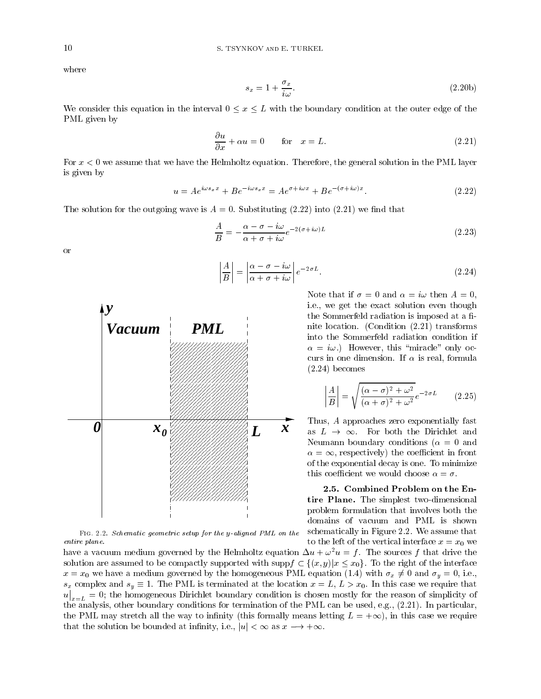where

$$
s_x = 1 + \frac{\sigma_x}{i\omega}.\tag{2.20b}
$$

We consider this equation in the interval  $0 \le x \le L$  with the boundary condition at the outer edge of the PML given by

$$
\frac{\partial u}{\partial x} + \alpha u = 0 \qquad \text{for} \quad x = L. \tag{2.21}
$$

For  $x < 0$  we assume that we have the Helmholtz equation. Therefore, the general solution in the PML layer is given by

$$
u = Ae^{i\omega s_x x} + Be^{-i\omega s_x x} = Ae^{\sigma + i\omega x} + Be^{-(\sigma + i\omega)x}.
$$
\n(2.22)

The solution for the outgoing wave is  $A = 0$ . Substituting  $(2.22)$  into  $(2.21)$  we find that

$$
\frac{A}{B} = -\frac{\alpha - \sigma - i\omega}{\alpha + \sigma + i\omega} e^{-2(\sigma + i\omega)L}
$$
\n(2.23)

or

$$
\left| \frac{A}{B} \right| = \left| \frac{\alpha - \sigma - i\omega}{\alpha + \sigma + i\omega} \right| e^{-2\sigma L}.
$$
\n(2.24)

Note that if  $\sigma = 0$  and  $\alpha = i\omega$  then  $A = 0$ . i.e., we get the exact solution even though the Sommerfeld radiation is imposed at a finite location. (Condition (2.21) transforms into the Sommerfeld radiation condition if  $\alpha = i\omega$ .) However, this "miracle" only occurs in one dimension. If  $\alpha$  is real, formula (2.24) becomes

$$
\left| \frac{A}{B} \right| = \sqrt{\frac{(\alpha - \sigma)^2 + \omega^2}{(\alpha + \sigma)^2 + \omega^2}} e^{-2\sigma L}
$$
 (2.25)

Thus, A approaches zero exponentially fast as  $L \rightarrow \infty$ . For both the Dirichlet and Neumann boundary conditions ( $\alpha = 0$  and  $\alpha = \infty$ , respectively) the coefficient in front of the exponential decay is one. To minimize this coefficient we would choose  $\alpha = \sigma$ .

2.5. Combined Problem on the Entire Plane. The simplest two-dimensional problem formulation that involves both the domains of vacuum and PML is shown schematically in Figure 2.2. We assume that to the left of the vertical interface  $x = x_0$  we

Fig. 2.2. Schematic geometric setup for the y-aligned PML on the entire plane.

have a vacuum medium governed by the Helmholtz equation  $\Delta u + \omega^2 u = f$ . The sources f that drive the solution are assumed to be compactly supported with supp $f \subset \{(x, y)|x \leq x_0\}$ . To the right of the interface  $x = x_0$  we have a medium governed by the homogeneous PML equation (1.4) with  $\sigma_x \neq 0$  and  $\sigma_y = 0$ , i.e.,  $s_x$  complex and  $s_y \equiv 1$ . The PML is terminated at the location  $x = L, L > x_0$ . In this case we require that u  $x_{n}=0$ ; the homogeneous Dirichlet boundary condition is chosen mostly for the reason of simplicity of the analysis, other boundary conditions for termination of the PML can be used, e.g., (2.21). In particular, the PML may stretch all the way to infinity (this formally means letting  $L = +\infty$ ), in this case we require that the solution be bounded at infinity, i.e.,  $|u| < \infty$  as  $x \to +\infty$ .

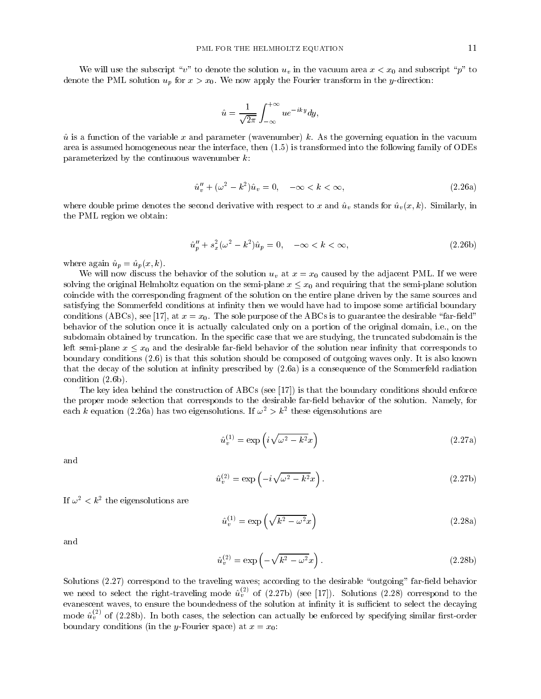We will use the subscript "v" to denote the solution  $u<sub>v</sub>$  in the vacuum area  $x < x<sub>0</sub>$  and subscript "p" to denote the PML solution  $u_p$  for  $x > x_0$ . We now apply the Fourier transform in the y-direction:

$$
\hat{u} = \frac{1}{\sqrt{2\pi}} \int_{-\infty}^{+\infty} u e^{-iky} dy,
$$

 $\hat{u}$  is a function of the variable x and parameter (wavenumber) k. As the governing equation in the vacuum area is assumed homogeneous near the interface, then (1.5) is transformed into the following family of ODEs parameterized by the continuous wavenumber  $k$ :

$$
\hat{u}''_v + (\omega^2 - k^2)\hat{u}_v = 0, \quad -\infty < k < \infty,\tag{2.26a}
$$

where double prime denotes the second derivative with respect to x and  $\hat{u}_v$  stands for  $\hat{u}_v (x, k)$ . Similarly, in the PML region we obtain:

$$
\hat{u}_p'' + s_x^2(\omega^2 - k^2)\hat{u}_p = 0, \quad -\infty < k < \infty,\tag{2.26b}
$$

where again  $\hat{u}_p = \hat{u}_p(x, k)$ .

We will now discuss the behavior of the solution  $u<sub>v</sub>$  at  $x = x<sub>0</sub>$  caused by the adjacent PML. If we were solving the original Helmholtz equation on the semi-plane  $x \leq x_0$  and requiring that the semi-plane solution coincide with the corresponding fragment of the solution on the entire plane driven by the same sources and satisfying the Sommerfeld conditions at infinity then we would have had to impose some artificial boundary conditions (ABCs), see [17], at  $x = x_0$ . The sole purpose of the ABCs is to guarantee the desirable "far-field" behavior of the solution once it is actually calculated only on a portion of the original domain, i.e., on the subdomain obtained by truncation. In the specific case that we are studying, the truncated subdomain is the left semi-plane  $x \leq x_0$  and the desirable far-field behavior of the solution near infinity that corresponds to boundary conditions (2.6) is that this solution should be composed of outgoing waves only. It is also known that the decay of the solution at infinity prescribed by  $(2.6a)$  is a consequence of the Sommerfeld radiation condition (2.6b).

The key idea behind the construction of ABCs (see [17]) is that the boundary conditions should enforce the proper mode selection that corresponds to the desirable far-field behavior of the solution. Namely, for each  $\kappa$  equation (2.26a) has two eigensolutions. If  $\omega \geq \kappa$  -these eigensolutions are

$$
\hat{u}_v^{(1)} = \exp\left(i\sqrt{\omega^2 - k^2}x\right) \tag{2.27a}
$$

and

$$
\hat{u}_v^{(2)} = \exp\left(-i\sqrt{\omega^2 - k^2}x\right). \tag{2.27b}
$$

 $\mu \omega$   $<$   $\kappa$ <sup>-</sup> the eigensolutions are

$$
\hat{u}_v^{(1)} = \exp\left(\sqrt{k^2 - \omega^2}x\right) \tag{2.28a}
$$

and

$$
\hat{u}_v^{(2)} = \exp\left(-\sqrt{k^2 - \omega^2}x\right). \tag{2.28b}
$$

Solutions  $(2.27)$  correspond to the traveling waves; according to the desirable "outgoing" far-field behavior we need to select the right-traveling mode  $\hat{u}_v^{\text{--}}$  of (2.27b) (see [17]). Solutions (2.28) correspond to the evanescent waves, to ensure the boundedness of the solution at infinity it is sufficient to select the decaying mode  $u_v^{\vee}$  of (2.28b). In both cases, the selection can actually be enforced by specifying similar first-order boundary conditions (in the y-Fourier space) at  $x = x_0$ .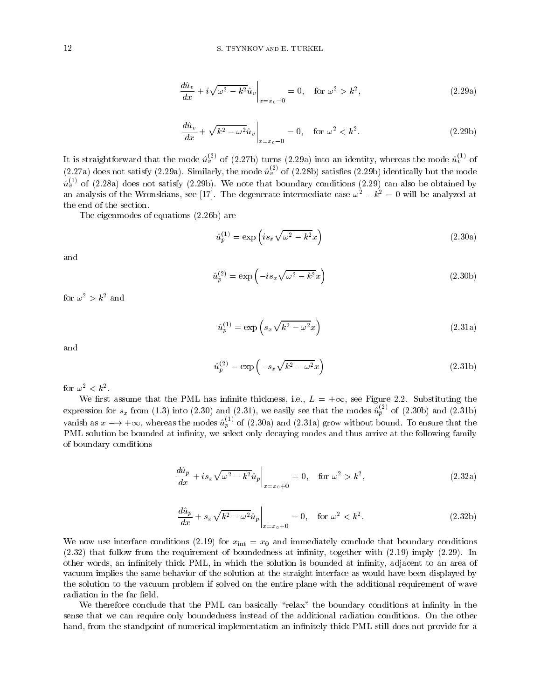$$
\frac{d\hat{u}_v}{dx} + i\sqrt{\omega^2 - k^2}\hat{u}_v\Big|_{x=x_0=0} = 0, \quad \text{for } \omega^2 > k^2,
$$
\n(2.29a)

$$
\frac{d\hat{u}_v}{dx} + \sqrt{k^2 - \omega^2} \hat{u}_v \bigg|_{x = x_0 - 0} = 0, \quad \text{for } \omega^2 < k^2. \tag{2.29b}
$$

It is straightforward that the mode  $u_v^{\vee}$  of (2.27b) turns (2.29a) into an identity, whereas the mode  $u_v^{\vee}$  of (2.27a) does not satisfy (2.29a). Similarly, the mode  $u_v^{\gamma}$  of (2.28b) satisfies (2.29b) identically but the mode  $u_v^{\scriptscriptstyle +}{}'$  of (2.28a) does not satisfy (2.29b). We note that boundary conditions (2.29) can also be obtained by an analysis of the Wronskians, see [17]. The degenerate intermediate case  $\omega^2 - k^2 = 0$  will be analyzed at the end of the section.

The eigenmodes of equations (2.26b) are

$$
\hat{u}_p^{(1)} = \exp\left(is_x\sqrt{\omega^2 - k^2}x\right)
$$
\n(2.30a)

and

$$
\hat{u}_p^{(2)} = \exp\left(-is_x\sqrt{\omega^2 - k^2}x\right)
$$
\n(2.30b)

for  $\omega^2 > k^2$  and

$$
\hat{u}_p^{(1)} = \exp\left(s_x \sqrt{k^2 - \omega^2} x\right) \tag{2.31a}
$$

and

$$
\hat{u}_p^{(2)} = \exp\left(-s_x\sqrt{k^2 - \omega^2}x\right) \tag{2.31b}
$$

 $10 \text{C} \omega^{-} < K^{-}$ .

We first assume that the PML has infinite thickness, i.e.,  $L = +\infty$ , see Figure 2.2. Substituting the expression for  $s_x$  from (1.3) into (2.30) and (2.31), we easily see that the modes  $u^{\pm}_{p}$  of (2.30b) and (2.31b) vanish as  $x \longrightarrow +\infty$ , whereas the modes  $\hat{u}_p^{\bullet\prime}$  of (2.30a) and (2.31a) grow without bound. To ensure that the PML solution be bounded at infinity, we select only decaying modes and thus arrive at the following family of boundary conditions

$$
\frac{d\hat{u}_p}{dx} + is_x \sqrt{\omega^2 - k^2} \hat{u}_p \bigg|_{x = x_0 + 0} = 0, \quad \text{for } \omega^2 > k^2,
$$
\n(2.32a)

$$
\left. \frac{d\hat{u}_p}{dx} + s_x \sqrt{k^2 - \omega^2} \hat{u}_p \right|_{x = x_0 + 0} = 0, \quad \text{for } \omega^2 < k^2. \tag{2.32b}
$$

We now use interface conditions (2.19) for  $x_{\text{int}} = x_0$  and immediately conclude that boundary conditions  $(2.32)$  that follow from the requirement of boundedness at infinity, together with  $(2.19)$  imply  $(2.29)$ . In other words, an infinitely thick PML, in which the solution is bounded at infinity, adjacent to an area of vacuum implies the same behavior of the solution at the straight interface as would have been displayed by the solution to the vacuum problem if solved on the entire plane with the additional requirement of wave radiation in the far field.

We therefore conclude that the PML can basically "relax" the boundary conditions at infinity in the sense that we can require only boundedness instead of the additional radiation conditions. On the other hand, from the standpoint of numerical implementation an infinitely thick PML still does not provide for a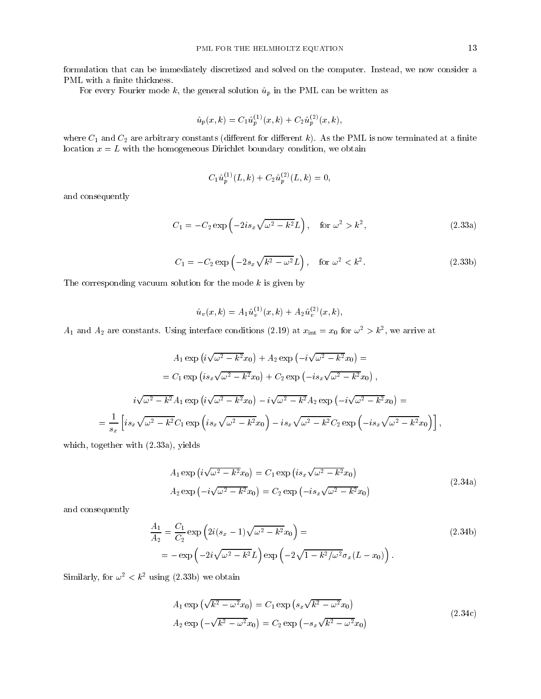formulation that can be immediately discretized and solved on the computer. Instead, we now consider a PML with a finite thickness.

For every Fourier mode k, the general solution  $\hat{u}_p$  in the PML can be written as

$$
\hat{u}_p(x,k) = C_1 \hat{u}_p^{(1)}(x,k) + C_2 \hat{u}_p^{(2)}(x,k),
$$

where  $C_1$  and  $C_2$  are arbitrary constants (different for different k). As the PML is now terminated at a finite location  $x = L$  with the homogeneous Dirichlet boundary condition, we obtain

$$
C_1\hat{u}_p^{(1)}(L,k)+C_2\hat{u}_p^{(2)}(L,k)=0,
$$

and consequently

$$
C_1 = -C_2 \exp\left(-2is_x\sqrt{\omega^2 - k^2}L\right), \quad \text{for } \omega^2 > k^2,
$$
\n
$$
(2.33a)
$$

$$
C_1 = -C_2 \exp\left(-2s_x\sqrt{k^2 - \omega^2}L\right), \quad \text{for } \omega^2 < k^2. \tag{2.33b}
$$

The corresponding vacuum solution for the mode  $k$  is given by

$$
\hat{u}_{v}(x,k)=A_{1}\hat{u}^{(1)}_{v}(x,k)+A_{2}\hat{u}^{(2)}_{v}(x,k),
$$

 $A_1$  and  $A_2$  are constants. Using interface conditions (2.19) at  $x_{\text{int}} = x_0$  for  $\omega^- > \kappa^-,$  we arrive at

$$
A_1 \exp (i \sqrt{\omega^2 - k^2} x_0) + A_2 \exp (-i \sqrt{\omega^2 - k^2} x_0) =
$$
  
=  $C_1 \exp (is_x \sqrt{\omega^2 - k^2} x_0) + C_2 \exp (-is_x \sqrt{\omega^2 - k^2} x_0),$   

$$
i \sqrt{\omega^2 - k^2} A_1 \exp (i \sqrt{\omega^2 - k^2} x_0) - i \sqrt{\omega^2 - k^2} A_2 \exp (-i \sqrt{\omega^2 - k^2} x_0) =
$$
  
=  $\frac{1}{s_x} \left[ is_x \sqrt{\omega^2 - k^2} C_1 \exp (is_x \sqrt{\omega^2 - k^2} x_0) - is_x \sqrt{\omega^2 - k^2} C_2 \exp (-is_x \sqrt{\omega^2 - k^2} x_0) \right],$ 

which, together with  $(2.33a)$ , yields

$$
A_1 \exp\left(i\sqrt{\omega^2 - k^2}x_0\right) = C_1 \exp\left(is_x\sqrt{\omega^2 - k^2}x_0\right)
$$
  
\n
$$
A_2 \exp\left(-i\sqrt{\omega^2 - k^2}x_0\right) = C_2 \exp\left(-is_x\sqrt{\omega^2 - k^2}x_0\right)
$$
\n(2.34a)

and consequently

$$
\frac{A_1}{A_2} = \frac{C_1}{C_2} \exp\left(2i(s_x - 1)\sqrt{\omega^2 - k^2}x_0\right) =
$$
\n
$$
= -\exp\left(-2i\sqrt{\omega^2 - k^2}L\right) \exp\left(-2\sqrt{1 - k^2/\omega^2}\sigma_x(L - x_0)\right).
$$
\n(2.34b)

Similarly, for  $\omega^2 < k^2$  using (2.33b) we obtain

$$
A_1 \exp \left(\sqrt{k^2 - \omega^2} x_0\right) = C_1 \exp \left(s_x \sqrt{k^2 - \omega^2} x_0\right)
$$
  

$$
A_2 \exp \left(-\sqrt{k^2 - \omega^2} x_0\right) = C_2 \exp \left(-s_x \sqrt{k^2 - \omega^2} x_0\right)
$$
 (2.34c)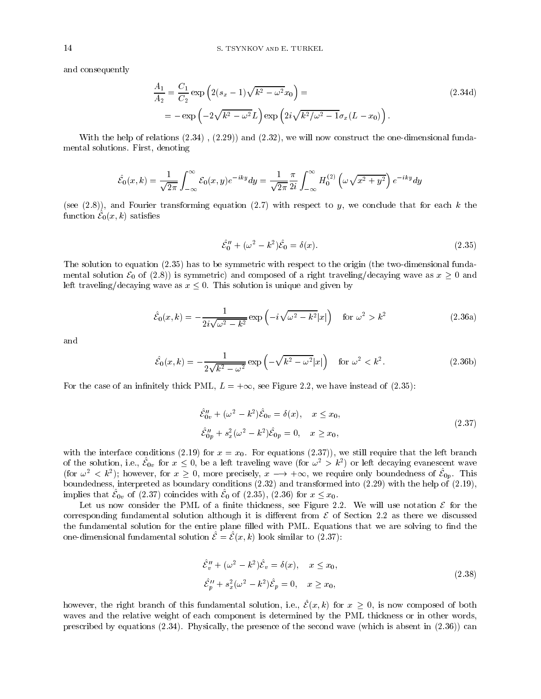and consequently

$$
\frac{A_1}{A_2} = \frac{C_1}{C_2} \exp\left(2(s_x - 1)\sqrt{k^2 - \omega^2} x_0\right) =
$$
\n
$$
= -\exp\left(-2\sqrt{k^2 - \omega^2} L\right) \exp\left(2i\sqrt{k^2/\omega^2 - 1}\sigma_x (L - x_0)\right).
$$
\n(2.34d)

With the help of relations  $(2.34)$ ,  $(2.29)$  and  $(2.32)$ , we will now construct the one-dimensional fundamental solutions. First, denoting

$$
\hat{\mathcal{E}}_0(x,k)=\frac{1}{\sqrt{2\pi}}\int_{-\infty}^{\infty}\mathcal{E}_0(x,y)e^{-iky}dy=\frac{1}{\sqrt{2\pi}}\frac{\pi}{2i}\int_{-\infty}^{\infty}H_0^{(2)}\left(\omega\sqrt{x^2+y^2}\right)e^{-iky}dy
$$

(see  $(2.8)$ ), and Fourier transforming equation  $(2.7)$  with respect to y, we conclude that for each k the function  $\mathcal{E}_0(x, k)$  satisfies

$$
\hat{\mathcal{E}}_0'' + (\omega^2 - k^2)\hat{\mathcal{E}}_0 = \delta(x). \tag{2.35}
$$

The solution to equation (2.35) has to be symmetric with respect to the origin (the two-dimensional fundamental solution  $\mathcal{E}_0$  of (2.8)) is symmetric) and composed of a right traveling/decaying wave as  $x \geq 0$  and left traveling/decaying wave as  $x \leq 0$ . This solution is unique and given by

$$
\hat{\mathcal{E}}_0(x,k) = -\frac{1}{2i\sqrt{\omega^2 - k^2}} \exp\left(-i\sqrt{\omega^2 - k^2}|x|\right) \quad \text{for } \omega^2 > k^2 \tag{2.36a}
$$

and

$$
\hat{\mathcal{E}}_0(x,k) = -\frac{1}{2\sqrt{k^2 - \omega^2}} \exp\left(-\sqrt{k^2 - \omega^2}|x|\right) \quad \text{for } \omega^2 < k^2. \tag{2.36b}
$$

For the case of an infinitely thick PML,  $L = +\infty$ , see Figure 2.2, we have instead of (2.35):

$$
\hat{\mathcal{E}}_{0v}^{\prime\prime} + (\omega^2 - k^2)\hat{\mathcal{E}}_{0v} = \delta(x), \quad x \le x_0,
$$
  

$$
\hat{\mathcal{E}}_{0p}^{\prime\prime} + s_x^2(\omega^2 - k^2)\hat{\mathcal{E}}_{0p} = 0, \quad x \ge x_0,
$$
\n(2.37)

with the interface conditions (2.19) for  $x = x_0$ . For equations (2.37)), we still require that the left branch of the solution, i.e.,  $\mathcal{E}_{0v}$  for  $x \leq 0$ , be a left traveling wave (for  $\omega^2 > k^2$ ) or left decaying evanescent wave (for  $\omega^2 < k^2$ ); however, for  $x \geq 0$ , more precisely,  $x \to +\infty$ , we require only boundedness of  $\mathcal{E}_{0p}$ . This boundedness, interpreted as boundary conditions (2.32) and transformed into (2.29) with the help of (2.19), implies that  $\mathcal{E}_{0v}$  of (2.37) coincides with  $\mathcal{E}_0$  of (2.35), (2.36) for  $x \leq x_0$ .

Let us now consider the PML of a finite thickness, see Figure 2.2. We will use notation  $\mathcal E$  for the corresponding fundamental solution although it is different from  $\mathcal E$  of Section 2.2 as there we discussed the fundamental solution for the entire plane filled with PML. Equations that we are solving to find the one-dimensional fundamental solution  $\mathcal{E} = \mathcal{E}(x, k)$  look similar to (2.37):

$$
\hat{\mathcal{E}}_v'' + (\omega^2 - k^2)\hat{\mathcal{E}}_v = \delta(x), \quad x \le x_0,
$$
  

$$
\hat{\mathcal{E}}_p'' + s_x^2(\omega^2 - k^2)\hat{\mathcal{E}}_p = 0, \quad x \ge x_0,
$$
 (2.38)

however, the right branch of this fundamental solution, i.e.,  $\hat{\mathcal{E}}(x, k)$  for  $x \geq 0$ , is now composed of both waves and the relative weight of each component is determined by the PML thickness or in other words, prescribed by equations (2.34). Physically, the presence of the second wave (which is absent in (2.36)) can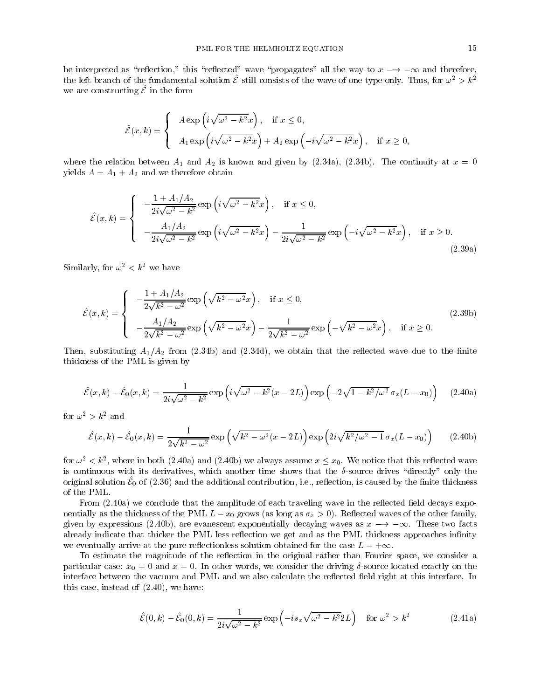be interpreted as "reflection," this "reflected" wave "propagates" all the way to  $x \rightarrow -\infty$  and therefore, the left branch of the fundamental solution  $\hat{\mathcal{E}}$  still consists of the wave of one type only. Thus, for  $\omega^2 > k^2$ we are constructing  $\hat{\mathcal{E}}$  in the form

$$
\hat{\mathcal{E}}(x,k) = \begin{cases}\nA \exp\left(i\sqrt{\omega^2 - k^2}x\right), & \text{if } x \le 0, \\
A_1 \exp\left(i\sqrt{\omega^2 - k^2}x\right) + A_2 \exp\left(-i\sqrt{\omega^2 - k^2}x\right), & \text{if } x \ge 0,\n\end{cases}
$$

where the relation between  $A_1$  and  $A_2$  is known and given by (2.34a), (2.34b). The continuity at  $x = 0$ yields  $A = A_1 + A_2$  and we therefore obtain

$$
\hat{\mathcal{E}}(x,k) = \begin{cases}\n-\frac{1 + A_1/A_2}{2i\sqrt{\omega^2 - k^2}} \exp\left(i\sqrt{\omega^2 - k^2}x\right), & \text{if } x \le 0, \\
-\frac{A_1/A_2}{2i\sqrt{\omega^2 - k^2}} \exp\left(i\sqrt{\omega^2 - k^2}x\right) - \frac{1}{2i\sqrt{\omega^2 - k^2}} \exp\left(-i\sqrt{\omega^2 - k^2}x\right), & \text{if } x \ge 0.\n\end{cases}
$$
\n(2.39a)

Similarly, for  $\omega^2 < k^2$  we have

$$
\hat{\mathcal{E}}(x,k) = \begin{cases}\n-\frac{1 + A_1/A_2}{2\sqrt{k^2 - \omega^2}} \exp\left(\sqrt{k^2 - \omega^2}x\right), & \text{if } x \le 0, \\
-\frac{A_1/A_2}{2\sqrt{k^2 - \omega^2}} \exp\left(\sqrt{k^2 - \omega^2}x\right) - \frac{1}{2\sqrt{k^2 - \omega^2}} \exp\left(-\sqrt{k^2 - \omega^2}x\right), & \text{if } x \ge 0.\n\end{cases}
$$
\n(2.39b)

Then, substituting  $A_1/A_2$  from (2.34b) and (2.34d), we obtain that the reflected wave due to the finite thickness of the PML is given by

$$
\hat{\mathcal{E}}(x,k) - \hat{\mathcal{E}}_0(x,k) = \frac{1}{2i\sqrt{\omega^2 - k^2}} \exp\left(i\sqrt{\omega^2 - k^2}(x - 2L)\right) \exp\left(-2\sqrt{1 - k^2/\omega^2} \sigma_x (L - x_0)\right) \tag{2.40a}
$$

for  $\omega^2 > k^2$  and

$$
\hat{\mathcal{E}}(x,k) - \hat{\mathcal{E}}_0(x,k) = \frac{1}{2\sqrt{k^2 - \omega^2}} \exp\left(\sqrt{k^2 - \omega^2}(x - 2L)\right) \exp\left(2i\sqrt{k^2/\omega^2 - 1}\,\sigma_x(L - x_0)\right) \tag{2.40b}
$$

for  $\omega^2 < k^2$ , where in both (2.40a) and (2.40b) we always assume  $x \leq x_0$ . We notice that this reflected wave is continuous with its derivatives, which another time shows that the  $\delta$ -source drives "directly" only the original solution  $\mathcal{E}_0$  of (2.36) and the additional contribution, i.e., reflection, is caused by the finite thickness of the PML.

From  $(2.40a)$  we conclude that the amplitude of each traveling wave in the reflected field decays exponentially as the thickness of the PML  $L - x_0$  grows (as long as  $\sigma_x > 0$ ). Reflected waves of the other family, given by expressions (2.40b), are evanescent exponentially decaying waves as  $x \to -\infty$ . These two facts already indicate that thicker the PML less reflection we get and as the PML thickness approaches infinity we eventually arrive at the pure reflectionless solution obtained for the case  $L = +\infty$ .

To estimate the magnitude of the reflection in the original rather than Fourier space, we consider a particular case:  $x_0 = 0$  and  $x = 0$ . In other words, we consider the driving  $\delta$ -source located exactly on the interface between the vacuum and PML and we also calculate the reflected field right at this interface. In this case, instead of (2.40), we have:

$$
\hat{\mathcal{E}}(0,k) - \hat{\mathcal{E}}_0(0,k) = \frac{1}{2i\sqrt{\omega^2 - k^2}} \exp\left(-is_x\sqrt{\omega^2 - k^2}2L\right) \quad \text{for } \omega^2 > k^2 \tag{2.41a}
$$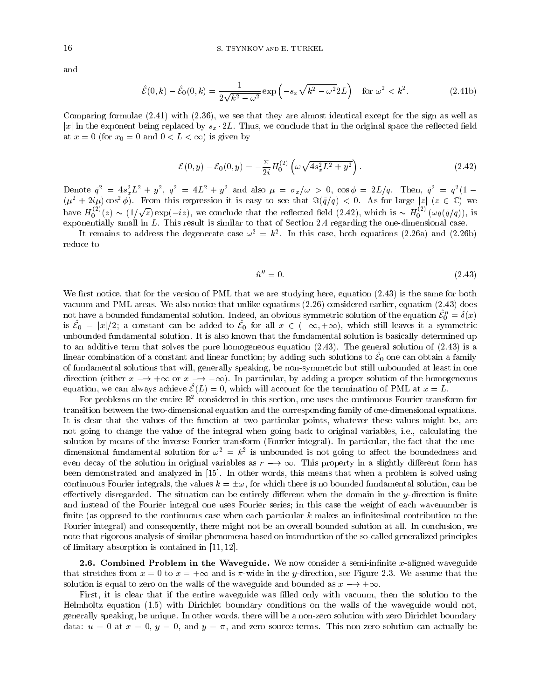and

$$
\hat{\mathcal{E}}(0,k) - \hat{\mathcal{E}}_0(0,k) = \frac{1}{2\sqrt{k^2 - \omega^2}} \exp\left(-s_x \sqrt{k^2 - \omega^2} 2L\right) \quad \text{for } \omega^2 < k^2. \tag{2.41b}
$$

Comparing formulae (2.41) with (2.36), we see that they are almost identical except for the sign as well as |x| in the exponent being replaced by  $s_x \cdot 2L$ . Thus, we conclude that in the original space the reflected field at  $x = 0$  (for  $x_0 = 0$  and  $0 < L < \infty$ ) is given by

$$
\mathcal{E}(0, y) - \mathcal{E}_0(0, y) = -\frac{\pi}{2i} H_0^{(2)} \left( \omega \sqrt{4s_x^2 L^2 + y^2} \right).
$$
 (2.42)

Denote  $q = 4s_x L + y$ ,  $q = 4L + y$  and also  $\mu = \sigma_x/\omega > 0$ ,  $\cos \varphi = 2L/q$ . Then,  $q = q (1 - (\mu^2 + 2i\mu)\cos^2 \varphi)$ . From this expression it is easy to see that  $\Re(\tilde{q}/q) < 0$ . As for large  $|z|$  ( $z \in \mathbb{C}$ ) we have  $H_0^{(2)}(z) \sim (1/\sqrt{z}) \exp(-iz)$ , we conclude that the reflected field  $(2.42)$ , which is  $\sim H_0^{(2)}(\omega q(\tilde{q}/q))$ , is exponentially small in L. This result is similar to that of Section 2.4 regarding the one-dimensional case.

It remains to address the degenerate case  $\omega_1 = \kappa_2$ . In this case, both equations (2.26a) and (2.26b) reduce to

$$
\hat{u}^{\prime\prime} = 0. \tag{2.43}
$$

We first notice, that for the version of PML that we are studying here, equation  $(2.43)$  is the same for both vacuum and PML areas. We also notice that unlike equations (2.26) considered earlier, equation (2.43) does not have a bounded fundamental solution. Indeed, an obvious symmetric solution of the equation  $\mathcal{E}''_0 = \delta(x)$ <br>is  $\hat{\mathcal{E}}_0 = |x|/2$ ; a constant can be added to  $\hat{\mathcal{E}}_0$  for all  $x \in (-\infty, +\infty)$ , which still leaves it unbounded fundamental solution. It is also known that the fundamental solution is basically determined up to an additive term that solves the pure homogeneous equation (2.43). The general solution of (2.43) is a linear combination of a constant and linear function; by adding such solutions to  $\mathcal{E}_0$  one can obtain a family of fundamental solutions that will, generally speaking, be non-symmetric but still unbounded at least in one direction (either  $x \to +\infty$  or  $x \to -\infty$ ). In particular, by adding a proper solution of the homogeneous equation, we can always achieve  $\mathcal{E}(L) = 0$ , which will account for the termination of PML at  $x = L$ .

For problems on the entire  $\mathbb{R}^2$  considered in this section, one uses the continuous Fourier transform for transition between the two-dimensional equation and the corresponding family of one-dimensional equations. It is clear that the values of the function at two particular points, whatever these values might be, are not going to change the value of the integral when going back to original variables, i.e., calculating the solution by means of the inverse Fourier transform (Fourier integral). In particular, the fact that the onedimensional fundamental solution for  $\omega^{\perp} = \kappa^{\perp}$  is unbounded is not going to allect the boundedness and even decay of the solution in original variables as  $r \rightarrow \infty$ . This property in a slightly different form has been demonstrated and analyzed in [15]. In other words, this means that when a problem is solved using continuous Fourier integrals, the values  $k = \pm \omega$ , for which there is no bounded fundamental solution, can be effectively disregarded. The situation can be entirely different when the domain in the  $y$ -direction is finite and instead of the Fourier integral one uses Fourier series; in this case the weight of each wavenumber is finite (as opposed to the continuous case when each particular  $k$  makes an infinitesimal contribution to the Fourier integral) and consequently, there might not be an overall bounded solution at all. In conclusion, we note that rigorous analysis of similar phenomena based on introduction of the so-called generalized principles of limitary absorption is contained in [11, 12].

**2.6. Combined Problem in the Waveguide.** We now consider a semi-infinite x-aligned waveguide that stretches from  $x = 0$  to  $x = +\infty$  and is  $\pi$ -wide in the y-direction, see Figure 2.3. We assume that the solution is equal to zero on the walls of the waveguide and bounded as  $x \rightarrow +\infty$ .

First, it is clear that if the entire waveguide was filled only with vacuum, then the solution to the Helmholtz equation (1.5) with Dirichlet boundary conditions on the walls of the waveguide would not, generally speaking, be unique. In other words, there will be a non-zero solution with zero Dirichlet boundary data:  $u = 0$  at  $x = 0$ ,  $y = 0$ , and  $y = \pi$ , and zero source terms. This non-zero solution can actually be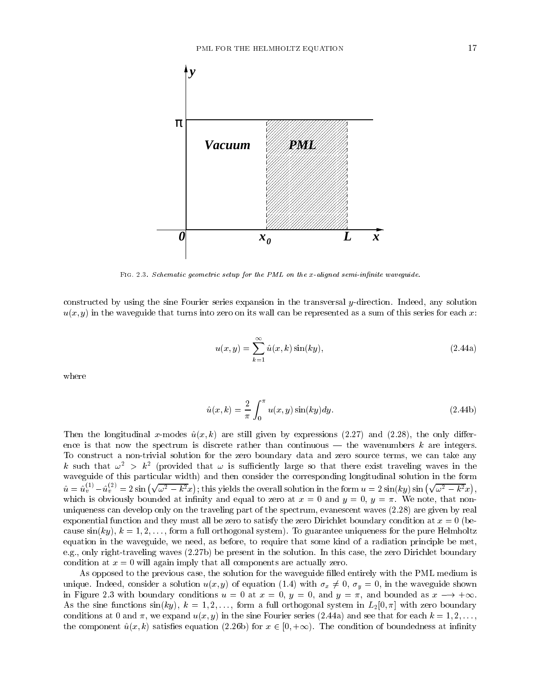

FIG. 2.3. Schematic geometric setup for the PML on the x-aligned semi-infinite waveguide.

constructed by using the sine Fourier series expansion in the transversal y-direction. Indeed, any solution  $u(x, y)$  in the waveguide that turns into zero on its wall can be represented as a sum of this series for each x:

$$
u(x,y) = \sum_{k=1}^{\infty} \hat{u}(x,k) \sin(ky), \qquad (2.44a)
$$

where

$$
\hat{u}(x,k) = \frac{2}{\pi} \int_0^\pi u(x,y) \sin(ky) dy.
$$
\n(2.44b)

Then the longitudinal x-modes  $\hat{u}(x, k)$  are still given by expressions (2.27) and (2.28), the only difference is that now the spectrum is discrete rather than continuous — the wavenumbers  $k$  are integers. To construct a non-trivial solution for the zero boundary data and zero source terms, we can take any  $\kappa$  such that  $\omega$   $\;\Rightarrow$   $\kappa$  (provided that  $\omega$  is sunceently large so that there exist traveling waves in the waveguide of this particular width) and then consider the corresponding longitudinal solution in the form  $\hat{u} = \hat{u}_v^{(1)} - \hat{u}_v^{(2)} = 2 \sin \left(\sqrt{\omega^2 - k^2} x\right);$  this yields the overall solution in the form  $u = 2 \sin(ky) \sin \left(\sqrt{\omega^2 - k^2} x\right),$ , which is obviously bounded at infinity and equal to zero at  $x = 0$  and  $y = 0$ ,  $y = \pi$ . We note, that nonuniqueness can develop only on the traveling part of the spectrum, evanescent waves (2.28) are given by real exponential function and they must all be zero to satisfy the zero Dirichlet boundary condition at  $x = 0$  (because  $sin(ky)$ ,  $k = 1, 2, \ldots$ , form a full orthogonal system). To guarantee uniqueness for the pure Helmholtz equation in the waveguide, we need, as before, to require that some kind of a radiation principle be met, e.g., only right-traveling waves (2.27b) be present in the solution. In this case, the zero Dirichlet boundary condition at  $x = 0$  will again imply that all components are actually zero.

As opposed to the previous case, the solution for the waveguide filled entirely with the PML medium is unique. Indeed, consider a solution  $u(x, y)$  of equation (1.4) with  $\sigma_x \neq 0$ ,  $\sigma_y = 0$ , in the waveguide shown in Figure 2.3 with boundary conditions  $u = 0$  at  $x = 0$ ,  $y = 0$ , and  $y = \pi$ , and bounded as  $x \rightarrow +\infty$ . As the sine functions  $sin(ky)$ ,  $k = 1, 2,...$ , form a full orthogonal system in  $L_2[0, \pi]$  with zero boundary conditions at 0 and  $\pi$ , we expand  $u(x, y)$  in the sine Fourier series (2.44a) and see that for each  $k = 1, 2, \ldots$ , the component  $\hat{u}(x, k)$  satisfies equation (2.26b) for  $x \in [0, +\infty)$ . The condition of boundedness at infinity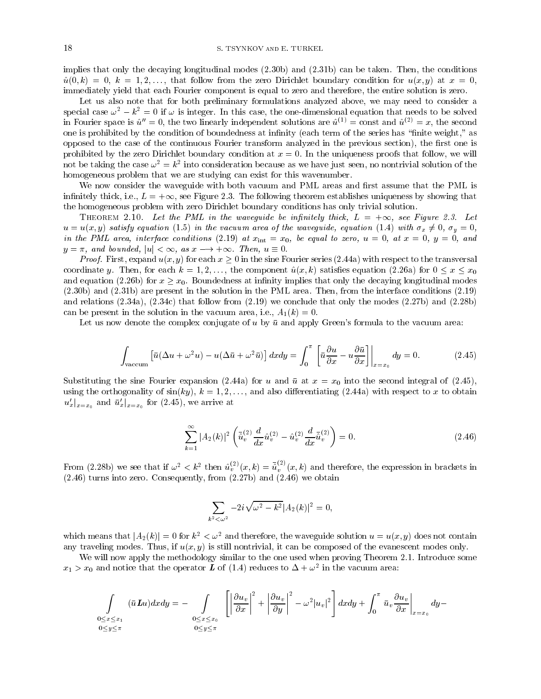implies that only the decaying longitudinal modes  $(2.30b)$  and  $(2.31b)$  can be taken. Then, the conditions  $\hat{u}(0, k) = 0, k = 1, 2, \ldots$ , that follow from the zero Dirichlet boundary condition for  $u(x, y)$  at  $x = 0$ , immediately yield that each Fourier component is equal to zero and therefore, the entire solution is zero.

Let us also note that for both preliminary formulations analyzed above, we may need to consider a special case  $\omega^2 - k^2 = 0$  if  $\omega$  is integer. In this case, the one-dimensional equation that needs to be solved in Fourier space is  $\hat{u}^{\prime\prime} = 0$ , the two linearly independent solutions are  $\hat{u}^{(1)} = \text{const}$  and  $\hat{u}^{(2)} = x$ , the second one is prohibited by the condition of boundedness at infinity (each term of the series has "finite weight," as opposed to the case of the continuous Fourier transform analyzed in the previous section), the first one is prohibited by the zero Dirichlet boundary condition at  $x = 0$ . In the uniqueness proofs that follow, we will not be taking the case  $\omega_-=\kappa_-$  into consideration because as we have just seen, no nontrivial solution of the homogeneous problem that we are studying can exist for this wavenumber.

We now consider the waveguide with both vacuum and PML areas and first assume that the PML is infinitely thick, i.e.,  $L = +\infty$ , see Figure 2.3. The following theorem establishes uniqueness by showing that the homogeneous problem with zero Dirichlet boundary conditions has only trivial solution.

THEOREM 2.10. Let the PML in the waveguide be infinitely thick,  $L = +\infty$ , see Figure 2.3. Let  $u = u(x, y)$  satisfy equation (1.5) in the vacuum area of the waveguide, equation (1.4) with  $\sigma_x \neq 0$ ,  $\sigma_y = 0$ , in the PML area, interface conditions (2.19) at  $x_{\text{int}} = x_0$ , be equal to zero,  $u = 0$ , at  $x = 0$ ,  $y = 0$ , and  $y = \pi$ , and bounded,  $|u| < \infty$ , as  $x \rightarrow +\infty$ . Then,  $u \equiv 0$ .

*Proof.* First, expand  $u(x, y)$  for each  $x \ge 0$  in the sine Fourier series (2.44a) with respect to the transversal coordinate y. Then, for each  $k = 1, 2, \ldots$ , the component  $\hat{u}(x, k)$  satisfies equation (2.26a) for  $0 \le x \le x_0$ and equation (2.26b) for  $x \ge x_0$ . Boundedness at infinity implies that only the decaying longitudinal modes (2.30b) and (2.31b) are present in the solution in the PML area. Then, from the interface conditions (2.19) and relations  $(2.34a)$ ,  $(2.34c)$  that follow from  $(2.19)$  we conclude that only the modes  $(2.27b)$  and  $(2.28b)$ can be present in the solution in the vacuum area, i.e.,  $A_1(k) = 0$ .

Let us now denote the complex conjugate of  $u$  by  $\bar{u}$  and apply Green's formula to the vacuum area:

$$
\int_{\text{vacuum}} \left[ \bar{u}(\Delta u + \omega^2 u) - u(\Delta \bar{u} + \omega^2 \bar{u}) \right] dx dy = \int_0^\pi \left[ \bar{u} \frac{\partial u}{\partial x} - u \frac{\partial \bar{u}}{\partial x} \right] \Big|_{x=x_0} dy = 0. \tag{2.45}
$$

Substituting the sine Fourier expansion (2.44a) for u and  $\bar{u}$  at  $x = x_0$  into the second integral of (2.45), using the orthogonality of  $sin(ky)$ ,  $k = 1, 2, \ldots$ , and also differentiating (2.44a) with respect to x to obtain  $u'_x|_{x=x_0}$  and  $\bar{u}'_x|_{x=x_0}$  for  $(2.45)$ , we arrive at

$$
\sum_{k=1}^{\infty} |A_2(k)|^2 \left( \bar{u}_v^{(2)} \frac{d}{dx} \hat{u}_v^{(2)} - \hat{u}_v^{(2)} \frac{d}{dx} \bar{\hat{u}}_v^{(2)} \right) = 0. \tag{2.46}
$$

From (2.28b) we see that if  $\omega^2 < k^2$  then  $\hat{u}^{(v)}_v(x, k) = \hat{u}^{(v)}_v(x, k)$  and therefore, the expression in brackets in (2.46) turns into zero. Consequently, from (2.27b) and (2.46) we obtain

$$
\sum_{k^2 < \omega^2} -2i\sqrt{\omega^2 - k^2}|A_2(k)|^2 = 0,
$$

which means that  $|A_2(k)| = 0$  for  $k^2 < \omega^2$  and therefore, the waveguide solution  $u = u(x, y)$  does not contain any traveling modes. Thus, if  $u(x, y)$  is still nontrivial, it can be composed of the evanescent modes only.

We will now apply the methodology similar to the one used when proving Theorem 2.1. Introduce some  $x_1 > x_0$  and notice that the operator  $\bm{L}$  of (1.4) reduces to  $\Delta + \omega$  in the vacuum area:

$$
\int_{\substack{0 \le x \le x_1 \\ 0 \le y \le \pi}} (\bar{u} \mathbf{L} u) dx dy = - \int_{\substack{0 \le x \le x_0 \\ 0 \le y \le \pi}} \left[ \left| \frac{\partial u_v}{\partial x} \right|^2 + \left| \frac{\partial u_v}{\partial y} \right|^2 - \omega^2 |u_v|^2 \right] dx dy + \int_0^{\pi} \bar{u}_v \frac{\partial u_v}{\partial x} \Big|_{x=x_0} dy -
$$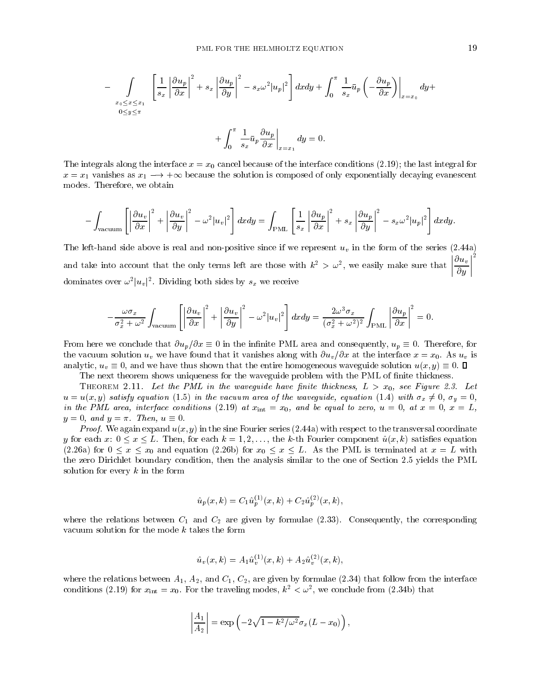$$
-\int_{\substack{x_0 \le x \le x_1 \\ 0 \le y \le \pi}} \left[ \frac{1}{s_x} \left| \frac{\partial u_p}{\partial x} \right|^2 + s_x \left| \frac{\partial u_p}{\partial y} \right|^2 - s_x \omega^2 |u_p|^2 \right] dx dy + \int_0^\pi \frac{1}{s_x} \bar{u}_p \left( -\frac{\partial u_p}{\partial x} \right) \Big|_{x=x_0} dy +
$$

$$
+\int_0^{\pi} \frac{1}{s_x} \bar{u}_p \frac{\partial u_p}{\partial x}\bigg|_{x=x_1} dy = 0.
$$

The integrals along the interface  $x = x_0$  cancel because of the interface conditions (2.19); the last integral for  $x = x_1$  vanishes as  $x_1 \longrightarrow +\infty$  because the solution is composed of only exponentially decaying evanescent modes. Therefore, we obtain

$$
-\int_{\text{vacuum}} \left[ \left| \frac{\partial u_v}{\partial x} \right|^2 + \left| \frac{\partial u_v}{\partial y} \right|^2 - \omega^2 |u_v|^2 \right] dx dy = \int_{\text{PML}} \left[ \frac{1}{s_x} \left| \frac{\partial u_p}{\partial x} \right|^2 + s_x \left| \frac{\partial u_p}{\partial y} \right|^2 - s_x \omega^2 |u_p|^2 \right] dx dy.
$$

The left-hand side above is real and non-positive since if we represent  $u<sub>v</sub>$  in the form of the series (2.44a) and take into account that the only terms left are those with  $\kappa^+ > \omega^-,$  we easily make sure that  $\frac{1}{2}$  $\left|\frac{\partial u_v}{\partial u}\right|^2$  $\sim$   $\sim$   $\sim$  $\frac{2}{\pi}$ dominates over  $\omega^2 |u_v|^2$ . Dividing both sides by  $s_x$  we receive

$$
-\frac{\omega \sigma_x}{\sigma_x^2 + \omega^2} \int_{\text{vacuum}} \left[ \left| \frac{\partial u_v}{\partial x} \right|^2 + \left| \frac{\partial u_v}{\partial y} \right|^2 - \omega^2 |u_v|^2 \right] dx dy = \frac{2\omega^3 \sigma_x}{(\sigma_x^2 + \omega^2)^2} \int_{\text{PML}} \left| \frac{\partial u_p}{\partial x} \right|^2 = 0.
$$

From here we conclude that  $\partial u_p/\partial x \equiv 0$  in the infinite PML area and consequently,  $u_p \equiv 0$ . Therefore, for the vacuum solution  $u_v$  we have found that it vanishes along with  $\partial u_v/\partial x$  at the interface  $x = x_0$ . As  $u_v$  is analytic,  $u_y \equiv 0$ , and we have thus shown that the entire homogeneous waveguide solution  $u(x, y) \equiv 0$ .

The next theorem shows uniqueness for the waveguide problem with the PML of finite thickness.

THEOREM 2.11. Let the PML in the waveguide have finite thickness,  $L > x_0$ , see Figure 2.3. Let  $u = u(x, y)$  satisfy equation (1.5) in the vacuum area of the waveguide, equation (1.4) with  $\sigma_x \neq 0$ ,  $\sigma_y = 0$ , in the PML area, interface conditions (2.19) at  $x_{int} = x_0$ , and be equal to zero,  $u = 0$ , at  $x = 0$ ,  $x = L$ ,  $y = 0$ , and  $y = \pi$ . Then,  $u \equiv 0$ .

*Proof.* We again expand  $u(x, y)$  in the sine Fourier series (2.44a) with respect to the transversal coordinate y for each x:  $0 \le x \le L$ . Then, for each  $k = 1, 2, \ldots$ , the k-th Fourier component  $\hat{u}(x, k)$  satisfies equation  $(2.26a)$  for  $0 \le x \le x_0$  and equation  $(2.26b)$  for  $x_0 \le x \le L$ . As the PML is terminated at  $x = L$  with the zero Dirichlet boundary condition, then the analysis similar to the one of Section 2.5 yields the PML solution for every  $k$  in the form

$$
\hat{u}_p(x,k) = C_1 \hat{u}_p^{(1)}(x,k) + C_2 \hat{u}_p^{(2)}(x,k),
$$

where the relations between  $C_1$  and  $C_2$  are given by formulae (2.33). Consequently, the corresponding vacuum solution for the mode k takes the form

$$
\hat{u}_v(x,k)=A_1\hat{u}_v^{(1)}(x,k)+A_2\hat{u}_v^{(2)}(x,k),
$$

where the relations between  $A_1$ ,  $A_2$ , and  $C_1$ ,  $C_2$ , are given by formulae (2.34) that follow from the interface conditions (2.19) for  $x_{\text{int}} = x_0$ . For the traveling modes,  $\kappa_- < \omega_+$ , we conclude from (2.34b) that

$$
\left|\frac{A_1}{A_2}\right| = \exp\left(-2\sqrt{1-k^2/\omega^2}\sigma_x(L-x_0)\right),\,
$$

;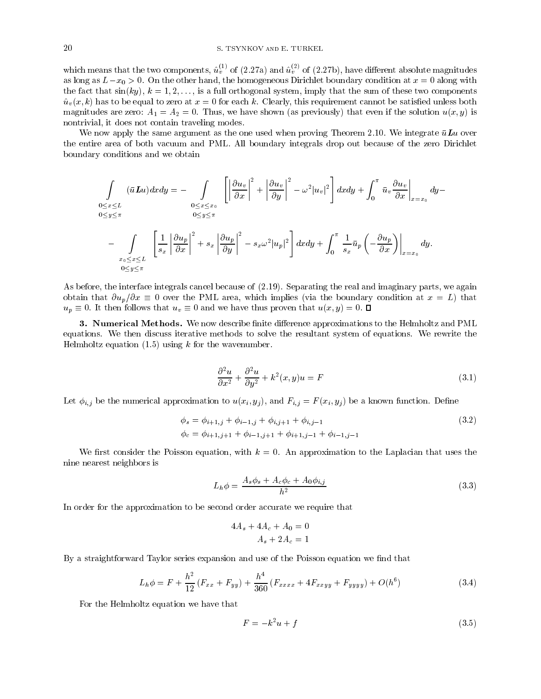# 20 S. TSYNKOV and E. TURKEL

which means that the two components,  $u_v^{\perp}$  ' of (2.27a) and  $u_v^{\perp}$  ' of (2.27b), have different absolute magnitudes as long as  $L-x_0 > 0$ . On the other hand, the homogeneous Dirichlet boundary condition at  $x = 0$  along with the fact that  $sin(ky)$ ,  $k = 1, 2, \ldots$ , is a full orthogonal system, imply that the sum of these two components  $\hat{u}_v(x, k)$  has to be equal to zero at  $x = 0$  for each k. Clearly, this requirement cannot be satisfied unless both magnitudes are zero:  $A_1 = A_2 = 0$ . Thus, we have shown (as previously) that even if the solution  $u(x, y)$  is nontrivial, it does not contain traveling modes.

We now apply the same argument as the one used when proving Theorem 2.10. We integrate  $\bar{u}Lu$  over the entire area of both vacuum andPML. All boundary integrals drop out because of the zero Dirichlet boundary conditions and we obtain

$$
\int_{\substack{0 \le x \le L \\ 0 \le y \le \pi}} (\bar{u} L u) dx dy = - \int_{\substack{0 \le x \le x_0 \\ 0 \le y \le \pi}} \left[ \left| \frac{\partial u_v}{\partial x} \right|^2 + \left| \frac{\partial u_v}{\partial y} \right|^2 - \omega^2 |u_v|^2 \right] dx dy + \int_0^\pi \bar{u}_v \frac{\partial u_v}{\partial x} \Big|_{x=x_0} dy -
$$
\n
$$
- \int_{\substack{x_0 \le x \le L \\ x_0 \le x \le L}} \left[ \frac{1}{s_x} \left| \frac{\partial u_p}{\partial x} \right|^2 + s_x \left| \frac{\partial u_p}{\partial y} \right|^2 - s_x \omega^2 |u_p|^2 \right] dx dy + \int_0^\pi \frac{1}{s_x} \bar{u}_p \left( -\frac{\partial u_p}{\partial x} \right) \Big|_{x=x_0} dy.
$$

As before, the interface integrals cancel because of (2.19). Separating the real and imaginary parts, we again obtain that  $\partial u_p/\partial x \equiv 0$  over the PML area, which implies (via the boundary condition at  $x = L$ ) that  $u_p \equiv 0$ . It then follows that  $u_v \equiv 0$  and we have thus proven that  $u(x, y) = 0$ .  $\Box$ 

**3. Numerical Methods.** We now describe finite difference approximations to the Helmholtz and PML equations. We then discuss iterative methods to solve the resultant system of equations. We rewrite the Helmholtz equation  $(1.5)$  using k for the wavenumber.

$$
\frac{\partial^2 u}{\partial x^2} + \frac{\partial^2 u}{\partial y^2} + k^2(x, y)u = F \tag{3.1}
$$

Let  $\phi_{i,j}$  be the numerical approximation to  $u(x_i, y_j)$ , and  $F_{i,j} = F(x_i, y_j)$  be a known function. Define

$$
\begin{aligned} \phi_s &= \phi_{i+1,j} + \phi_{i-1,j} + \phi_{i,j+1} + \phi_{i,j-1} \\ \phi_c &= \phi_{i+1,j+1} + \phi_{i-1,j+1} + \phi_{i+1,j-1} + \phi_{i-1,j-1} \end{aligned} \tag{3.2}
$$

We first consider the Poisson equation, with  $k = 0$ . An approximation to the Laplacian that uses the nine nearest neighbors is

$$
L_h \phi = \frac{A_s \phi_s + A_c \phi_c + A_0 \phi_{i,j}}{h^2} \tag{3.3}
$$

In order for the approximation to be second order accurate we require that

$$
4As + 4Ac + A0 = 0
$$

$$
As + 2Ac = 1
$$

By a straightforward Taylor series expansion and use of the Poisson equation we find that

$$
L_h \phi = F + \frac{h^2}{12} \left( F_{xx} + F_{yy} \right) + \frac{h^4}{360} \left( F_{xxxx} + 4F_{xxyy} + F_{yyyy} \right) + O(h^6)
$$
 (3.4)

For the Helmholtz equation we have that

$$
F = -k^2u + f \tag{3.5}
$$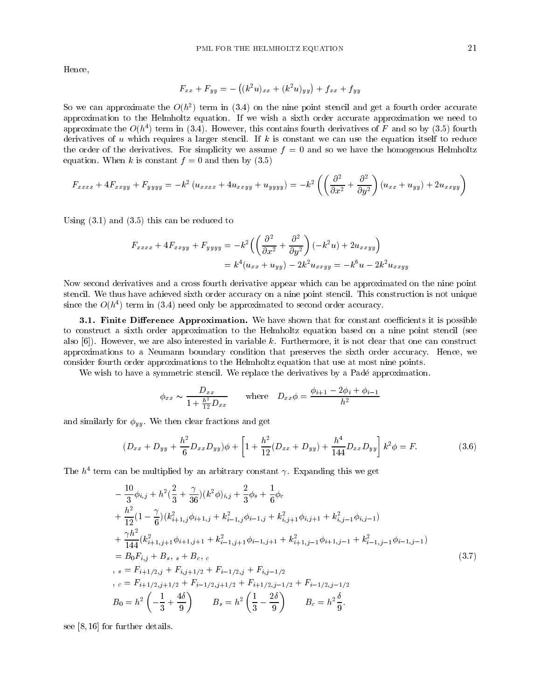Hence,

$$
F_{xx} + F_{yy} = -((k^2u)_{xx} + (k^2u)_{yy}) + f_{xx} + f_{yy}
$$

 $50\,$  we can approximate the  $O(h_{\perp})$  term in (5.4) on the nine point stencil and get a fourth order accurate approximation to the Helmholtz equation. If we wish a sixth order accurate approximation we need to approximate the  $O(n^+)$  term in (5.4). However, this contains fourth derivatives of F and so by (5.5) fourth  $\,$ derivatives of u which requires a larger stencil. If  $k$  is constant we can use the equation itself to reduce the order of the derivatives. For simplicity we assume  $f = 0$  and so we have the homogenous Helmholtz equation. When k is constant  $f = 0$  and then by (3.5)

$$
F_{xxxx} + 4F_{xxyy} + F_{yyyy} = -k^2 \left( u_{xxxx} + 4u_{xxyy} + u_{yyyy} \right) = -k^2 \left( \left( \frac{\partial^2}{\partial x^2} + \frac{\partial^2}{\partial y^2} \right) \left( u_{xx} + u_{yy} \right) + 2u_{xxyy} \right)
$$

Using (3.1) and (3.5) this can be reduced to

$$
F_{xxxx} + 4F_{xxyy} + F_{yyyy} = -k^2 \left( \left( \frac{\partial^2}{\partial x^2} + \frac{\partial^2}{\partial y^2} \right) (-k^2 u) + 2u_{xxyy} \right)
$$
  
=  $k^4 (u_{xx} + u_{yy}) - 2k^2 u_{xxyy} = -k^6 u - 2k^2 u_{xxyy}$ 

Now second derivatives and a cross fourth derivative appear which can be approximated on the nine point stencil. We thus have achieved sixth order accuracy on a nine point stencil. This construction is not unique  $\sin$ ce the  $O(n^2)$  term in (5.4) need only be approximated to second order accuracy.

3.1. Finite Difference Approximation. We have shown that for constant coefficients it is possible to construct a sixth order approximation to the Helmholtz equation based on a nine point stencil (see also  $[6]$ . However, we are also interested in variable k. Furthermore, it is not clear that one can construct approximations to a Neumann boundary condition that preserves the sixth order accuracy. Hence, we consider fourth order approximations to the Helmholtz equation that use at most nine points.

We wish to have a symmetric stencil. We replace the derivatives by a Padé approximation.

$$
\phi_{xx} \sim \frac{D_{xx}}{1 + \frac{h^2}{12} D_{xx}}
$$
 where  $D_{xx} \phi = \frac{\phi_{i+1} - 2\phi_i + \phi_{i-1}}{h^2}$ 

and similarly for  $\phi_{yy}$ . We then clear fractions and get

$$
(D_{xx} + D_{yy} + \frac{h^2}{6} D_{xx} D_{yy})\phi + \left[1 + \frac{h^2}{12} (D_{xx} + D_{yy}) + \frac{h^4}{144} D_{xx} D_{yy}\right] k^2 \phi = F.
$$
 (3.6)

The  $n_{\parallel}$  term can be multiplied by an arbitrary constant  $\gamma$ . Expanding this we get

$$
-\frac{10}{3}\phi_{i,j} + h^2(\frac{2}{3} + \frac{\gamma}{36})(k^2\phi)_{i,j} + \frac{2}{3}\phi_s + \frac{1}{6}\phi_c
$$
  
+  $\frac{h^2}{12}(1 - \frac{\gamma}{6})(k_{i+1,j}^2\phi_{i+1,j} + k_{i-1,j}^2\phi_{i-1,j} + k_{i,j+1}^2\phi_{i,j+1} + k_{i,j-1}^2\phi_{i,j-1})$   
+  $\frac{\gamma h^2}{144}(k_{i+1,j+1}^2\phi_{i+1,j+1} + k_{i-1,j+1}^2\phi_{i-1,j+1} + k_{i+1,j-1}^2\phi_{i+1,j-1} + k_{i-1,j-1}^2\phi_{i-1,j-1})$   
=  $B_0F_{i,j} + B_s$ ,  $s + B_c$ ,  $c$   
,  $s = F_{i+1/2,j} + F_{i,j+1/2} + F_{i-1/2,j} + F_{i,j-1/2}$   
,  $c = F_{i+1/2,j+1/2} + F_{i-1/2,j+1/2} + F_{i+1/2,j-1/2} + F_{i-1/2,j-1/2}$   
 $B_0 = h^2\left(-\frac{1}{3} + \frac{4\delta}{9}\right)$   $B_s = h^2\left(\frac{1}{3} - \frac{2\delta}{9}\right)$   $B_c = h^2\frac{\delta}{9}$ .

see [8, 16] for further details.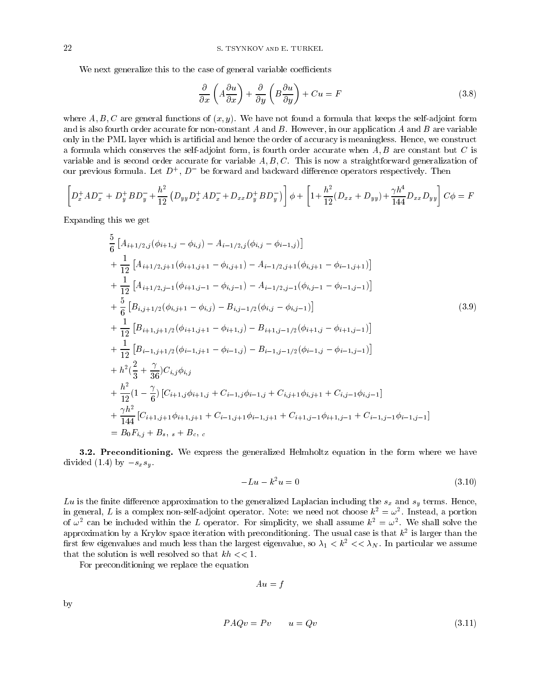We next generalize this to the case of general variable coefficients

$$
\frac{\partial}{\partial x}\left(A\frac{\partial u}{\partial x}\right) + \frac{\partial}{\partial y}\left(B\frac{\partial u}{\partial y}\right) + Cu = F
$$
\n(3.8)

where A, B, C are general functions of  $(x, y)$ . We have not found a formula that keeps the self-adjoint form and is also fourth order accurate for non-constant  $A$  and  $B$ . However, in our application  $A$  and  $B$  are variable only in the PML layer which is articial and hence the order of accuracy is meaningless. Hence, we construct a formula which conserves the self-adjoint form, is fourth order accurate when  $A, B$  are constant but  $C$  is variable and is second order accurate for variable  $A, B, C$ . This is now a straightforward generalization of our previous formula. Let  $D^+$ ,  $D^-$  be forward and backward difference operators respectively. Then

$$
\left[D_x^+ A D_x^- + D_y^+ B D_y^- + \frac{h^2}{12} \left(D_{yy} D_x^+ A D_x^- + D_{xx} D_y^+ B D_y^-\right)\right] \phi + \left[1 + \frac{h^2}{12} (D_{xx} + D_{yy}) + \frac{\gamma h^4}{144} D_{xx} D_{yy}\right] C \phi = F
$$

Expanding this we get

$$
\frac{5}{6} \left[ A_{i+1/2,j}(\phi_{i+1,j} - \phi_{i,j}) - A_{i-1/2,j}(\phi_{i,j} - \phi_{i-1,j}) \right] \n+ \frac{1}{12} \left[ A_{i+1/2,j+1}(\phi_{i+1,j+1} - \phi_{i,j+1}) - A_{i-1/2,j+1}(\phi_{i,j+1} - \phi_{i-1,j+1}) \right] \n+ \frac{1}{12} \left[ A_{i+1/2,j-1}(\phi_{i+1,j-1} - \phi_{i,j-1}) - A_{i-1/2,j-1}(\phi_{i,j-1} - \phi_{i-1,j-1}) \right] \n+ \frac{5}{6} \left[ B_{i,j+1/2}(\phi_{i,j+1} - \phi_{i,j}) - B_{i,j-1/2}(\phi_{i,j} - \phi_{i,j-1}) \right] \n+ \frac{1}{12} \left[ B_{i+1,j+1/2}(\phi_{i+1,j+1} - \phi_{i+1,j}) - B_{i+1,j-1/2}(\phi_{i+1,j} - \phi_{i+1,j-1}) \right] \n+ \frac{1}{12} \left[ B_{i-1,j+1/2}(\phi_{i-1,j+1} - \phi_{i-1,j}) - B_{i-1,j-1/2}(\phi_{i-1,j} - \phi_{i-1,j-1}) \right] \n+ h^2 \left( \frac{2}{3} + \frac{\gamma}{36} \right) C_{i,j} \phi_{i,j} \n+ \frac{h^2}{12} \left( 1 - \frac{\gamma}{6} \right) \left[ C_{i+1,j} \phi_{i+1,j} + C_{i-1,j} \phi_{i-1,j} + C_{i,j+1} \phi_{i,j+1} + C_{i,j-1} \phi_{i,j-1} \right] \n+ \frac{\gamma h^2}{144} \left[ C_{i+1,j+1} \phi_{i+1,j+1} + C_{i-1,j+1} \phi_{i-1,j+1} + C_{i+1,j-1} \phi_{i+1,j-1} + C_{i-1,j-1} \phi_{i-1,j-1} \right] \n= B_0 F_{i,j} + B_s, s + B_c, c
$$

3.2. Preconditioning. We express the generalized Helmholtz equation in the form where we have divided (1.4) by  $-s_x s_y$ .

$$
-Lu - k^2u = 0 \tag{3.10}
$$

Lu is the finite difference approximation to the generalized Laplacian including the  $s_x$  and  $s_y$  terms. Hence, in general,  $L$  is a complex non-self-adjoint operator. Note: we need not choose  $\kappa^{\bot} = \omega^{\bot}$ . Instead, a portion of  $\omega$  can be included within the L operator. For simplicity, we shall assume  $\kappa^{\perp} = \omega^{\perp}$ . We shall solve the approximation by a Krylov space iteration with preconditioning. The usual case is that k<sup>2</sup> is larger than the first few eigenvalues and much less than the largest eigenvalue, so  $\lambda_1 < k^2 << \lambda_N$ . In particular we assume that the solution is well resolved so that  $kh \ll 1$ .

For preconditioning we replace the equation

 $Au = f$ 

by

$$
PAQv = Pv \qquad u = Qv \tag{3.11}
$$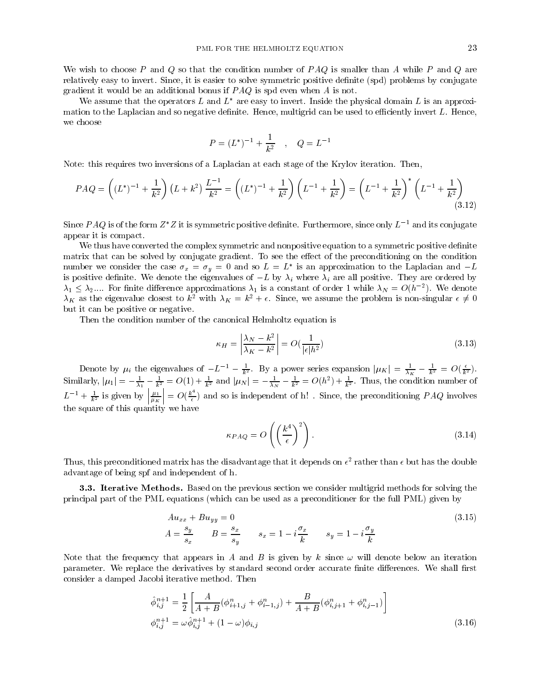We wish to choose P and Q so that the condition number of  $PAO$  is smaller than A while P and Q are relatively easy to invert. Since, it is easier to solve symmetric positive denite (spd) problems by conjugate gradient it would be an additional bonus if  $P A Q$  is spd even when A is not.

We assume that the operators L and  $L^*$  are easy to invert. Inside the physical domain L is an approximation to the Laplacian and so negative definite. Hence, multigrid can be used to efficiently invert L. Hence, we choose

$$
P = (L^*)^{-1} + \frac{1}{k^2} \quad , \quad Q = L^{-1}
$$

Note: this requires two inversions of a Laplacian at each stage of the Krylov iteration. Then,

$$
PAQ = \left( (L^*)^{-1} + \frac{1}{k^2} \right) (L + k^2) \frac{L^{-1}}{k^2} = \left( (L^*)^{-1} + \frac{1}{k^2} \right) \left( L^{-1} + \frac{1}{k^2} \right) = \left( L^{-1} + \frac{1}{k^2} \right)^* \left( L^{-1} + \frac{1}{k^2} \right)
$$
\n
$$
(3.12)
$$

Since PAQ is of the form  $Z^*Z$  it is symmetric positive definite. Furthermore, since only  $L^{-1}$  and its conjugate appear it is compact.

We thus have converted the complex symmetric and nonpositive equation to a symmetric positive definite matrix that can be solved by conjugate gradient. To see the effect of the preconditioning on the condition number we consider the case  $\sigma_x = \sigma_y = 0$  and so  $L = L$  is an approximation to the Laplacian and  $-L$ is positive definite. We denote the eigenvalues of  $-L$  by  $\lambda_i$  where  $\lambda_i$  are all positive. They are ordered by  $\lambda_1 \leq \lambda_2$ .... For finite difference approximations  $\lambda_1$  is a constant of order 1 while  $\lambda_N = O(h^{-2})$ . We denote  $\lambda_K$  as the eigenvalue closest to  $k^2$  with  $\lambda_K = k^2 + \epsilon$ . Since, we assume the problem is non-singular  $\epsilon \neq 0$ but it can be positive or negative.

Then the condition number of the canonical Helmholtz equation is

$$
\kappa_H = \left| \frac{\lambda_N - k^2}{\lambda_K - k^2} \right| = O\left(\frac{1}{|\epsilon|h^2}\right) \tag{3.13}
$$

Denote by  $\mu_i$  the eigenvalues of  $-L^{-1} - \frac{1}{k^2}$ . By a power series expansion  $|\mu_K| = \frac{1}{\lambda_K} - \frac{1}{k^2} = O(\frac{\epsilon}{k^2})$ . Similarly,  $|\mu_1| = -\frac{1}{\lambda_1} - \frac{1}{k^2} = O(1) + \frac{1}{k^2}$  and  $|\mu_N| = -\frac{1}{\lambda_N} - \frac{1}{k^2} = O(h^2) + \frac{1}{k^2}$ . Thus, the condition number of  $L^{-1} + \frac{1}{k^2}$  is given by  $\left| \frac{\mu_1}{\mu_K} \right| = O(\frac{k}{\epsilon})$  $= O(\frac{k}{\epsilon})$  and so is independent of h! . Since, the preconditioning PAQ involves the square of this quantity we have

$$
\kappa_{PAQ} = O\left(\left(\frac{k^4}{\epsilon}\right)^2\right). \tag{3.14}
$$

 $\mathtt{T}$ hus, this preconditioned matrix has the disadvantage that it depends on  $\epsilon$  -rather than  $\epsilon$  but has the double advantage of being spf and independent of h.

3.3. Iterative Methods. Based on the previous section we consider multigrid methods for solving the principal part of the PML equations (which can be used as a preconditioner for the full PML) given by

$$
Au_{xx} + Bu_{yy} = 0
$$
  
\n
$$
A = \frac{s_y}{s_x} \qquad B = \frac{s_x}{s_y} \qquad s_x = 1 - i\frac{\sigma_x}{k} \qquad s_y = 1 - i\frac{\sigma_y}{k}
$$
\n(3.15)

Note that the frequency that appears in A and B is given by k since  $\omega$  will denote below an iteration parameter. We replace the derivatives by standard second order accurate finite differences. We shall first consider a damped Jacobi iterative method. Then

$$
\hat{\phi}_{i,j}^{n+1} = \frac{1}{2} \left[ \frac{A}{A+B} (\phi_{i+1,j}^n + \phi_{i-1,j}^n) + \frac{B}{A+B} (\phi_{i,j+1}^n + \phi_{i,j-1}^n) \right]
$$
  

$$
\phi_{i,j}^{n+1} = \omega \hat{\phi}_{i,j}^{n+1} + (1-\omega)\phi_{i,j}
$$
 (3.16)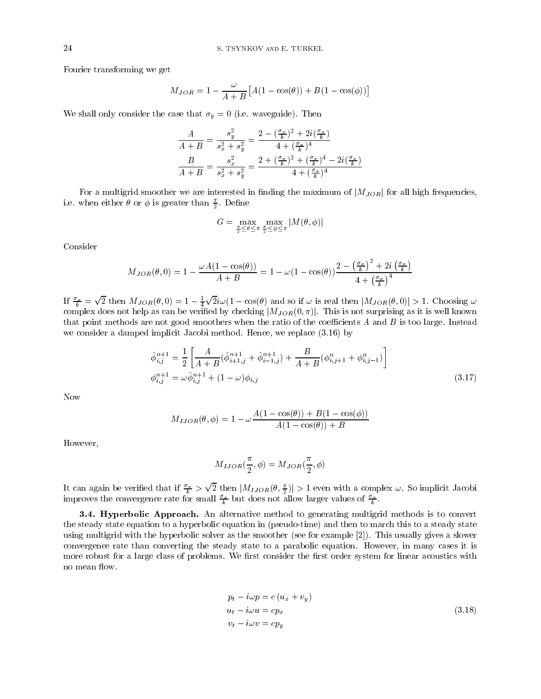Fourier transforming we get

$$
M_{JOR} = 1 - \frac{\omega}{A+B} \left[ A(1 - \cos(\theta)) + B(1 - \cos(\phi)) \right]
$$

We shall only consider the case that  $\sigma_y = 0$  (i.e. waveguide). Then

$$
\frac{A}{A+B} = \frac{s_y^2}{s_x^2 + s_y^2} = \frac{2 - (\frac{\sigma_x}{k})^2 + 2i(\frac{\sigma_x}{k})}{4 + (\frac{\sigma_x}{k})^4}
$$
\n
$$
\frac{B}{A+B} = \frac{s_x^2}{s_x^2 + s_y^2} = \frac{2 + (\frac{\sigma_x}{k})^2 + (\frac{\sigma_x}{k})^4 - 2i(\frac{\sigma_x}{k})}{4 + (\frac{\sigma_x}{k})^4}
$$

For a multigrid smoother we are interested in finding the maximum of  $|M_{JOR}|$  for all high frequencies, i.e. when either  $\sigma$  or  $\varphi$  is greater than  $\Xi$ . Define

$$
G = \max_{\frac{\pi}{2} \leq \theta \leq \pi} \max_{\frac{\pi}{2} \leq \phi \leq \pi} |M(\theta, \phi)|
$$

Consider

$$
M_{JOR}(\theta,0)=1-\frac{\omega A(1-\cos(\theta))}{A+B}=1-\omega(1-\cos(\theta))\frac{2-\left(\frac{\sigma_x}{k}\right)^2+2i\left(\frac{\sigma_x}{k}\right)}{4+\left(\frac{\sigma_x}{k}\right)^4}
$$

If  $\frac{\sigma_x}{k} = \sqrt{2}$  then  $M_{JOR}(\theta, 0) = 1 - \frac{1}{4}\sqrt{2}i\omega(1 - \cos(\theta))$  and so if  $\omega$  is real then  $|M_{JOR}(\theta, 0)| > 1$ . Choosing  $\omega$ complex does not help as can be verified by checking  $|M_{JOR}(0, \pi)|$ . This is not surprising as it is well known that point methods are not good smoothers when the ratio of the coefficients  $A$  and  $B$  is too large. Instead we consider a damped implicit Jacobi method. Hence, we replace (3.16) by

$$
\hat{\phi}_{i,j}^{n+1} = \frac{1}{2} \left[ \frac{A}{A+B} (\hat{\phi}_{i+1,j}^{n+1} + \hat{\phi}_{i-1,j}^{n+1}) + \frac{B}{A+B} (\phi_{i,j+1}^n + \phi_{i,j-1}^n) \right]
$$
  

$$
\phi_{i,j}^{n+1} = \omega \hat{\phi}_{i,j}^{n+1} + (1-\omega)\phi_{i,j}
$$
 (3.17)

Now

$$
M_{IJOR}(\theta,\phi) = 1 - \omega \frac{A(1 - \cos(\theta)) + B(1 - \cos(\phi))}{A(1 - \cos(\theta)) + B}
$$

However,

$$
M_{IJOR}(\frac{\pi}{2}, \phi) = M_{JOR}(\frac{\pi}{2}, \phi)
$$

It can again be verified that if  $\frac{\sigma_x}{k} > \sqrt{2}$  then  $|M_{IJOR}(\theta, \frac{\pi}{2})| > 1$  even with a complex  $\omega$ . So implicit Jacobi improves the convergence rate for small  $\frac{v}{k}$  but does not allow larger values of  $\frac{v}{k}$ .

**3.4. Hyperbolic Approach.** An alternative method to generating multigrid methods is to convert the steady state equation to a hyperbolic equation in (pseudo-time) and then to march this to a steady state using multigrid with the hyperbolic solver as the smoother (see for example [2]). This usually gives a slower convergence rate than converting the steady state to a parabolic equation. However, in many cases it is more robust for a large class of problems. We first consider the first order system for linear acoustics with no mean flow.

$$
p_t - i\omega p = c (u_x + v_y)
$$
  
\n
$$
u_t - i\omega u = cp_x
$$
  
\n
$$
v_t - i\omega v = cp_y
$$
\n(3.18)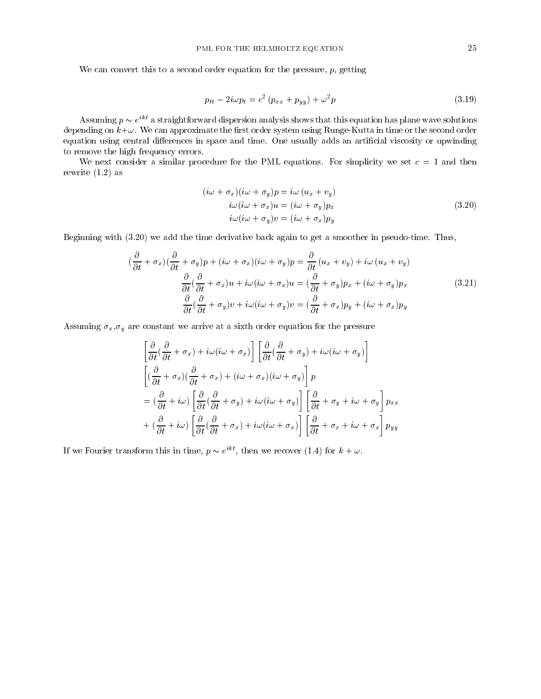We can convert this to a second order equation for the pressure,  $p$ , getting

$$
p_{tt} - 2i\omega p_t = c^2 \left( p_{xx} + p_{yy} \right) + \omega^2 p \tag{3.19}
$$

Assuming  $p \thicksim e^{i \omega}$  a straightforward dispersion analysis shows that this equation has plane wave solutions depending on  $k+\omega$ . We can approximate the first order system using Runge-Kutta in time or the second order equation using central differences in space and time. One usually adds an artificial viscosity or upwinding to remove the high frequency errors.

We next consider a similar procedure for the PML equations. For simplicity we set  $c = 1$  and then rewrite (1.2) as

$$
(i\omega + \sigma_x)(i\omega + \sigma_y)p = i\omega (u_x + v_y)
$$
  
\n
$$
i\omega (i\omega + \sigma_x)u = (i\omega + \sigma_y)p_x
$$
  
\n
$$
i\omega (i\omega + \sigma_y)v = (i\omega + \sigma_x)p_y
$$
\n(3.20)

Beginning with (3.20) we add the time derivative back again to get a smoother in pseudo-time. Thus,

$$
(\frac{\partial}{\partial t} + \sigma_x)(\frac{\partial}{\partial t} + \sigma_y)p + (i\omega + \sigma_x)(i\omega + \sigma_y)p = \frac{\partial}{\partial t}(u_x + v_y) + i\omega(u_x + v_y)
$$

$$
\frac{\partial}{\partial t}(\frac{\partial}{\partial t} + \sigma_x)u + i\omega(i\omega + \sigma_x)u = (\frac{\partial}{\partial t} + \sigma_y)p_x + (i\omega + \sigma_y)p_x
$$
(3.21)
$$
\frac{\partial}{\partial t}(\frac{\partial}{\partial t} + \sigma_y)v + i\omega(i\omega + \sigma_y)v = (\frac{\partial}{\partial t} + \sigma_x)p_y + (i\omega + \sigma_x)p_y
$$

Assuming  $\sigma_x,\sigma_y$  are constant we arrive at a sixth order equation for the pressure

$$
\begin{aligned}\n&\left[\frac{\partial}{\partial t}(\frac{\partial}{\partial t} + \sigma_x) + i\omega(i\omega + \sigma_x)\right] \left[\frac{\partial}{\partial t}(\frac{\partial}{\partial t} + \sigma_y) + i\omega(i\omega + \sigma_y)\right] \\
&\left[(\frac{\partial}{\partial t} + \sigma_x)(\frac{\partial}{\partial t} + \sigma_x) + (i\omega + \sigma_x)(i\omega + \sigma_y)\right] p \\
&= (\frac{\partial}{\partial t} + i\omega) \left[\frac{\partial}{\partial t}(\frac{\partial}{\partial t} + \sigma_y) + i\omega(i\omega + \sigma_y)\right] \left[\frac{\partial}{\partial t} + \sigma_y + i\omega + \sigma_y\right] p_{xx} \\
&+ (\frac{\partial}{\partial t} + i\omega) \left[\frac{\partial}{\partial t}(\frac{\partial}{\partial t} + \sigma_x) + i\omega(i\omega + \sigma_x)\right] \left[\frac{\partial}{\partial t} + \sigma_x + i\omega + \sigma_x\right] p_{yy}\n\end{aligned}
$$

If we rourier transform this in time,  $p \sim e^-$  , then we recover (1.4) for  $\kappa + \omega$ .